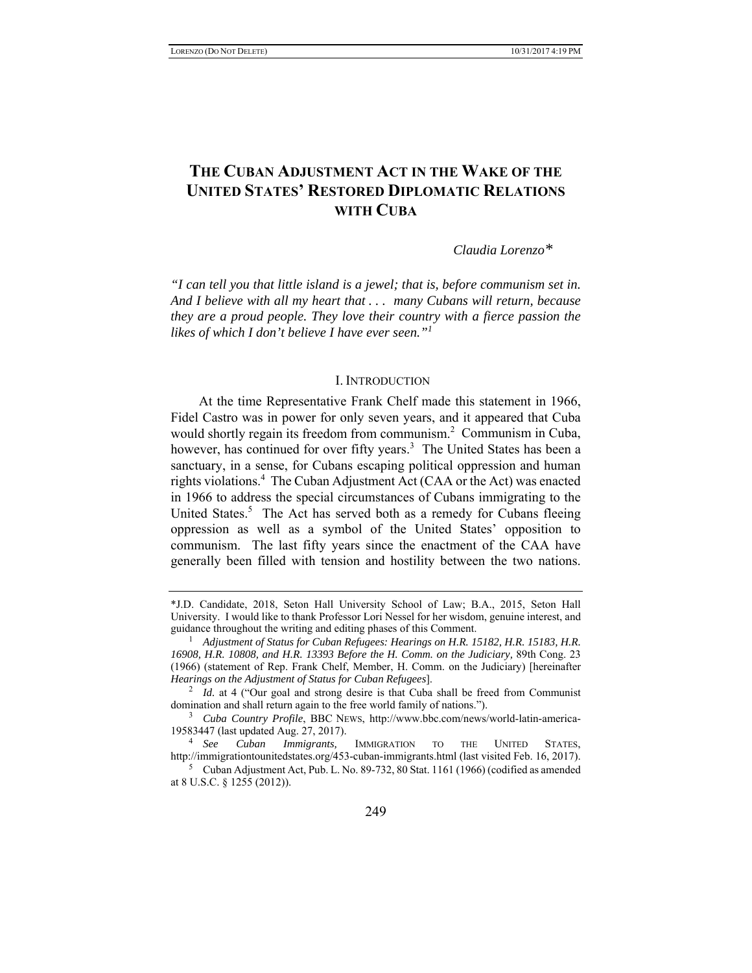# **THE CUBAN ADJUSTMENT ACT IN THE WAKE OF THE UNITED STATES' RESTORED DIPLOMATIC RELATIONS WITH CUBA**

*Claudia Lorenzo\**

*"I can tell you that little island is a jewel; that is, before communism set in. And I believe with all my heart that . . . many Cubans will return, because they are a proud people. They love their country with a fierce passion the likes of which I don't believe I have ever seen."<sup>1</sup>*

#### I. INTRODUCTION

At the time Representative Frank Chelf made this statement in 1966, Fidel Castro was in power for only seven years, and it appeared that Cuba would shortly regain its freedom from communism.<sup>2</sup> Communism in Cuba, however, has continued for over fifty years.<sup>3</sup> The United States has been a sanctuary, in a sense, for Cubans escaping political oppression and human rights violations.<sup>4</sup> The Cuban Adjustment Act (CAA or the Act) was enacted in 1966 to address the special circumstances of Cubans immigrating to the United States.<sup>5</sup> The Act has served both as a remedy for Cubans fleeing oppression as well as a symbol of the United States' opposition to communism. The last fifty years since the enactment of the CAA have generally been filled with tension and hostility between the two nations.

<sup>\*</sup>J.D. Candidate, 2018, Seton Hall University School of Law; B.A., 2015, Seton Hall University. I would like to thank Professor Lori Nessel for her wisdom, genuine interest, and guidance throughout the writing and editing phases of this Comment.

<sup>&</sup>lt;sup>1</sup> Adjustment of Status for Cuban Refugees: Hearings on H.R. 15182, H.R. 15183, H.R. *16908, H.R. 10808, and H.R. 13393 Before the H. Comm. on the Judiciary,* 89th Cong. 23 (1966) (statement of Rep. Frank Chelf, Member, H. Comm. on the Judiciary) [hereinafter *Hearings on the Adjustment of Status for Cuban Refugees*]. 2

<sup>&</sup>lt;sup>2</sup> *Id.* at 4 ("Our goal and strong desire is that Cuba shall be freed from Communist domination and shall return again to the free world family of nations.").

<sup>3</sup> *Cuba Country Profile*, BBC NEWS, http://www.bbc.com/news/world-latin-america-19583447 (last updated Aug. 27, 2017).<br><sup>4</sup> See Cuban Immigrants, IMMIGRATION

TO THE UNITED STATES, http://immigrationtounitedstates.org/453-cuban-immigrants.html (last visited Feb. 16, 2017).

Cuban Adjustment Act, Pub. L. No. 89-732, 80 Stat. 1161 (1966) (codified as amended at 8 U.S.C. § 1255 (2012)).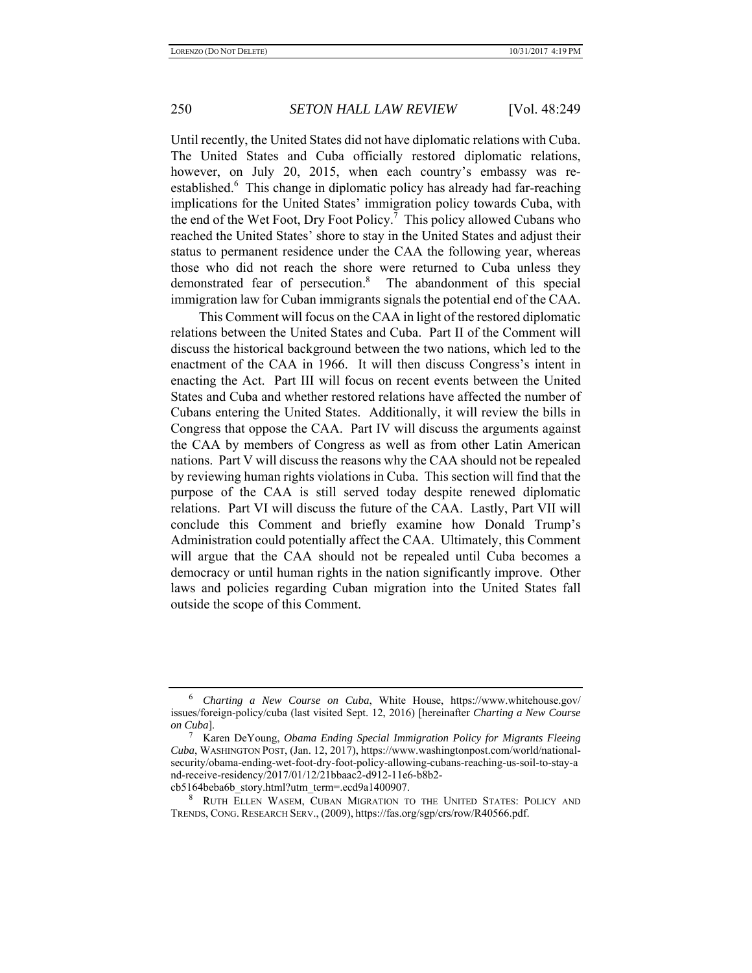Until recently, the United States did not have diplomatic relations with Cuba. The United States and Cuba officially restored diplomatic relations, however, on July 20, 2015, when each country's embassy was reestablished.<sup>6</sup> This change in diplomatic policy has already had far-reaching implications for the United States' immigration policy towards Cuba, with the end of the Wet Foot, Dry Foot Policy.<sup>7</sup> This policy allowed Cubans who reached the United States' shore to stay in the United States and adjust their status to permanent residence under the CAA the following year, whereas those who did not reach the shore were returned to Cuba unless they demonstrated fear of persecution.<sup>8</sup> The abandonment of this special immigration law for Cuban immigrants signals the potential end of the CAA.

This Comment will focus on the CAA in light of the restored diplomatic relations between the United States and Cuba. Part II of the Comment will discuss the historical background between the two nations, which led to the enactment of the CAA in 1966. It will then discuss Congress's intent in enacting the Act. Part III will focus on recent events between the United States and Cuba and whether restored relations have affected the number of Cubans entering the United States. Additionally, it will review the bills in Congress that oppose the CAA. Part IV will discuss the arguments against the CAA by members of Congress as well as from other Latin American nations. Part V will discuss the reasons why the CAA should not be repealed by reviewing human rights violations in Cuba. This section will find that the purpose of the CAA is still served today despite renewed diplomatic relations. Part VI will discuss the future of the CAA. Lastly, Part VII will conclude this Comment and briefly examine how Donald Trump's Administration could potentially affect the CAA. Ultimately, this Comment will argue that the CAA should not be repealed until Cuba becomes a democracy or until human rights in the nation significantly improve. Other laws and policies regarding Cuban migration into the United States fall outside the scope of this Comment.

<sup>6</sup> *Charting a New Course on Cuba*, White House, https://www.whitehouse.gov/ issues/foreign-policy/cuba (last visited Sept. 12, 2016) [hereinafter *Charting a New Course on Cuba*]. 7

Karen DeYoung, *Obama Ending Special Immigration Policy for Migrants Fleeing Cuba*, WASHINGTON POST, (Jan. 12, 2017), https://www.washingtonpost.com/world/nationalsecurity/obama-ending-wet-foot-dry-foot-policy-allowing-cubans-reaching-us-soil-to-stay-a nd-receive-residency/2017/01/12/21bbaac2-d912-11e6-b8b2 cb5164beba6b\_story.html?utm\_term=.ecd9a1400907.

<sup>8</sup> RUTH ELLEN WASEM, CUBAN MIGRATION TO THE UNITED STATES: POLICY AND TRENDS, CONG. RESEARCH SERV., (2009), https://fas.org/sgp/crs/row/R40566.pdf.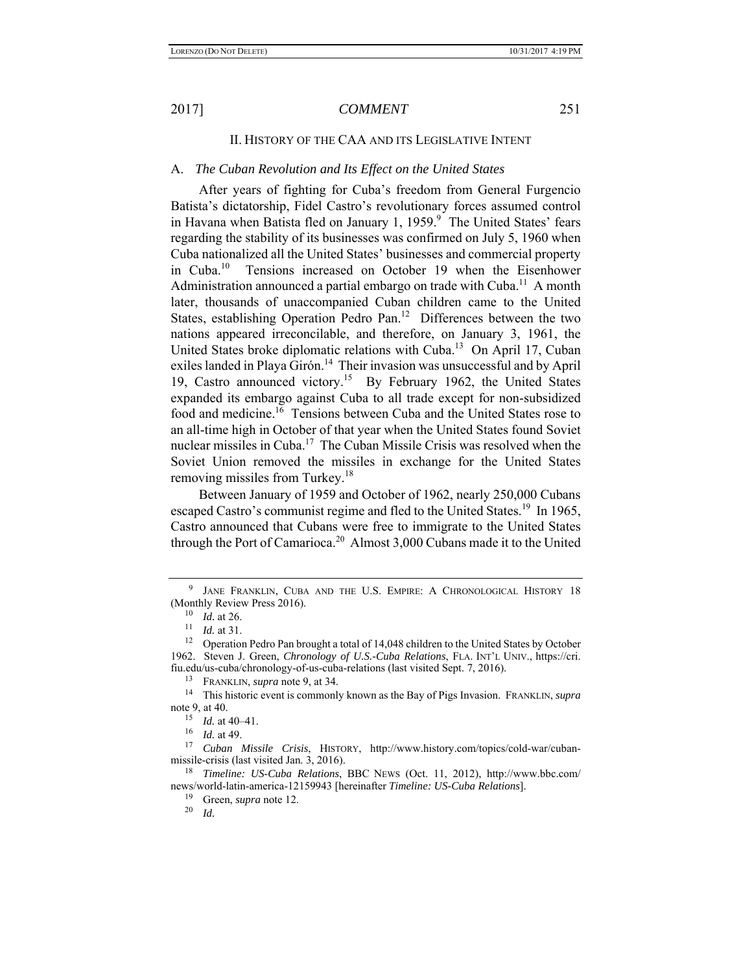### II. HISTORY OF THE CAA AND ITS LEGISLATIVE INTENT

### A. *The Cuban Revolution and Its Effect on the United States*

After years of fighting for Cuba's freedom from General Furgencio Batista's dictatorship, Fidel Castro's revolutionary forces assumed control in Havana when Batista fled on January 1, 1959.<sup>9</sup> The United States' fears regarding the stability of its businesses was confirmed on July 5, 1960 when Cuba nationalized all the United States' businesses and commercial property in Cuba.10 Tensions increased on October 19 when the Eisenhower Administration announced a partial embargo on trade with Cuba.<sup>11</sup> A month later, thousands of unaccompanied Cuban children came to the United States, establishing Operation Pedro Pan.<sup>12</sup> Differences between the two nations appeared irreconcilable, and therefore, on January 3, 1961, the United States broke diplomatic relations with Cuba.<sup>13</sup> On April 17, Cuban exiles landed in Playa Girón.<sup>14</sup> Their invasion was unsuccessful and by April 19, Castro announced victory.15 By February 1962, the United States expanded its embargo against Cuba to all trade except for non-subsidized food and medicine.<sup>16</sup> Tensions between Cuba and the United States rose to an all-time high in October of that year when the United States found Soviet nuclear missiles in Cuba.<sup>17</sup> The Cuban Missile Crisis was resolved when the Soviet Union removed the missiles in exchange for the United States removing missiles from Turkey.<sup>18</sup>

Between January of 1959 and October of 1962, nearly 250,000 Cubans escaped Castro's communist regime and fled to the United States.<sup>19</sup> In 1965, Castro announced that Cubans were free to immigrate to the United States through the Port of Camarioca.<sup>20</sup> Almost 3,000 Cubans made it to the United

<sup>9</sup> JANE FRANKLIN, CUBA AND THE U.S. EMPIRE: A CHRONOLOGICAL HISTORY 18 (Monthly Review Press 2016).

<sup>10</sup> *Id.* at 26.<br><sup>11</sup> *Id.* at 31.<br><sup>12</sup> Operation Pedro Pan brought a total of 14,048 children to the United States by October 1962. Steven J. Green, *Chronology of U.S.-Cuba Relations*, FLA. INT'L UNIV., https://cri. fiu.edu/us-cuba/chronology-of-us-cuba-relations (last visited Sept. 7, 2016).

<sup>&</sup>lt;sup>13</sup> FRANKLIN, *supra* note 9, at 34.<br><sup>14</sup> This historic event is commonly known as the Bay of Pigs Invasion. FRANKLIN, *supra* note 9, at 40.

<sup>15</sup> *Id.* at 40–41.

 $\frac{16}{17}$  *Id.* at 49.

<sup>17</sup> *Cuban Missile Crisis*, HISTORY, http://www.history.com/topics/cold-war/cubanmissile-crisis (last visited Jan. 3, 2016).

<sup>18</sup> *Timeline: US-Cuba Relations*, BBC NEWS (Oct. 11, 2012), http://www.bbc.com/ news/world-latin-america-12159943 [hereinafter *Timeline: US-Cuba Relations*].

<sup>&</sup>lt;sup>19</sup> Green, *supra* note 12.<br><sup>20</sup> Id

<sup>20</sup> *Id.*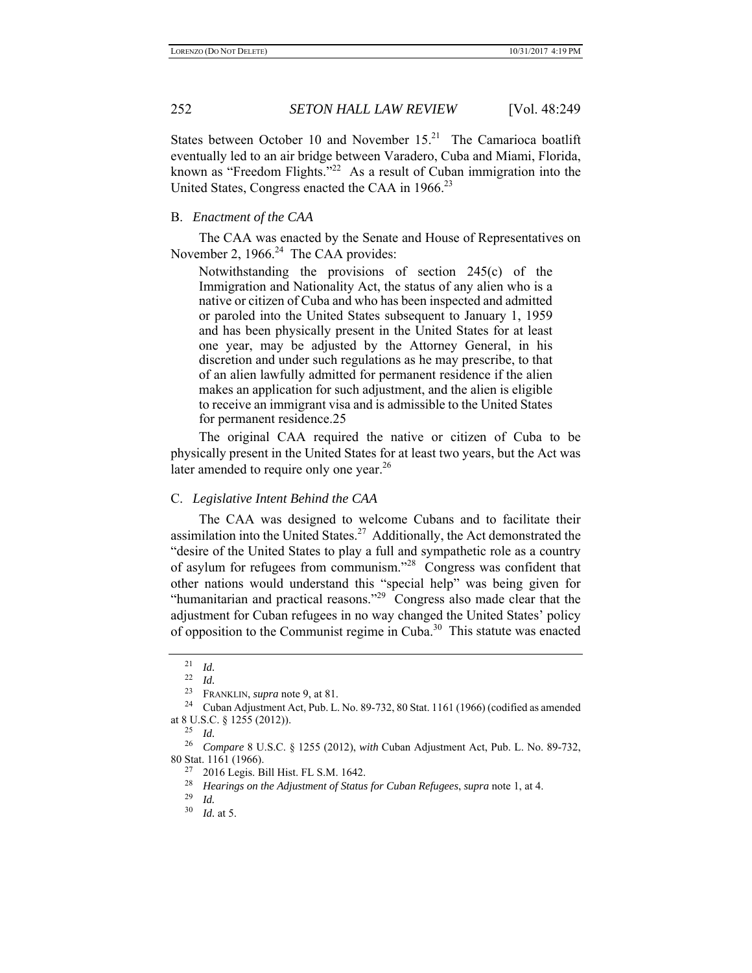States between October 10 and November 15.<sup>21</sup> The Camarioca boatlift eventually led to an air bridge between Varadero, Cuba and Miami, Florida, known as "Freedom Flights."22 As a result of Cuban immigration into the United States, Congress enacted the CAA in 1966.<sup>23</sup>

## B. *Enactment of the CAA*

The CAA was enacted by the Senate and House of Representatives on November 2, 1966. $^{24}$  The CAA provides:

Notwithstanding the provisions of section 245(c) of the Immigration and Nationality Act, the status of any alien who is a native or citizen of Cuba and who has been inspected and admitted or paroled into the United States subsequent to January 1, 1959 and has been physically present in the United States for at least one year, may be adjusted by the Attorney General, in his discretion and under such regulations as he may prescribe, to that of an alien lawfully admitted for permanent residence if the alien makes an application for such adjustment, and the alien is eligible to receive an immigrant visa and is admissible to the United States for permanent residence.25

The original CAA required the native or citizen of Cuba to be physically present in the United States for at least two years, but the Act was later amended to require only one year.<sup>26</sup>

## C. *Legislative Intent Behind the CAA*

The CAA was designed to welcome Cubans and to facilitate their assimilation into the United States.<sup>27</sup> Additionally, the Act demonstrated the "desire of the United States to play a full and sympathetic role as a country of asylum for refugees from communism."28 Congress was confident that other nations would understand this "special help" was being given for "humanitarian and practical reasons."<sup>29</sup> Congress also made clear that the adjustment for Cuban refugees in no way changed the United States' policy of opposition to the Communist regime in Cuba.<sup>30</sup> This statute was enacted

 $\frac{21}{22}$  *Id.* 

*Id.* 

<sup>&</sup>lt;sup>23</sup> FRANKLIN, *supra* note 9, at 81.<br><sup>24</sup> Cuban Adjustment Act, Pub. L. No. 89-732, 80 Stat. 1161 (1966) (codified as amended at 8 U.S.C. § 1255 (2012)).

 $25$  *Id.* 

<sup>26</sup> *Compare* 8 U.S.C. § 1255 (2012), *with* Cuban Adjustment Act, Pub. L. No. 89-732, 80 Stat. 1161 (1966).<br> $^{27}$  2016 Legis B

<sup>2016</sup> Legis. Bill Hist. FL S.M. 1642.

<sup>28</sup> *Hearings on the Adjustment of Status for Cuban Refugees*, *supra* note 1, at 4.

 $\frac{29}{30}$  *Id.* 

*Id.* at 5.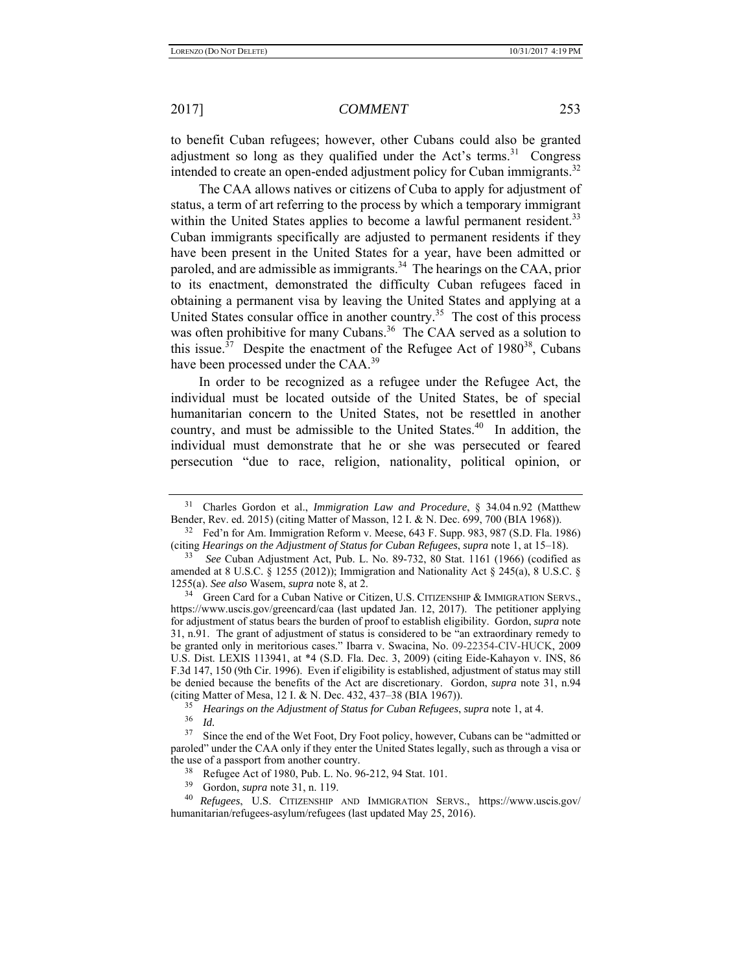to benefit Cuban refugees; however, other Cubans could also be granted adjustment so long as they qualified under the Act's terms.<sup>31</sup> Congress intended to create an open-ended adjustment policy for Cuban immigrants.<sup>32</sup>

The CAA allows natives or citizens of Cuba to apply for adjustment of status, a term of art referring to the process by which a temporary immigrant within the United States applies to become a lawful permanent resident.<sup>33</sup> Cuban immigrants specifically are adjusted to permanent residents if they have been present in the United States for a year, have been admitted or paroled, and are admissible as immigrants.<sup>34</sup> The hearings on the CAA, prior to its enactment, demonstrated the difficulty Cuban refugees faced in obtaining a permanent visa by leaving the United States and applying at a United States consular office in another country.<sup>35</sup> The cost of this process was often prohibitive for many Cubans.<sup>36</sup> The CAA served as a solution to this issue.<sup>37</sup> Despite the enactment of the Refugee Act of  $1980^{38}$ , Cubans have been processed under the CAA.<sup>39</sup>

In order to be recognized as a refugee under the Refugee Act, the individual must be located outside of the United States, be of special humanitarian concern to the United States, not be resettled in another country, and must be admissible to the United States.<sup>40</sup> In addition, the individual must demonstrate that he or she was persecuted or feared persecution "due to race, religion, nationality, political opinion, or

39 Gordon, *supra* note 31, n. 119.

<sup>31</sup> Charles Gordon et al., *Immigration Law and Procedure*, § 34.04 n.92 (Matthew Bender, Rev. ed. 2015) (citing Matter of Masson, 12 I. & N. Dec. 699, 700 (BIA 1968)).

<sup>32</sup> Fed'n for Am. Immigration Reform v. Meese, 643 F. Supp. 983, 987 (S.D. Fla. 1986) (citing *Hearings on the Adjustment of Status for Cuban Refugees*, *supra* note 1, at 15–18).

<sup>33</sup> *See* Cuban Adjustment Act, Pub. L. No. 89-732, 80 Stat. 1161 (1966) (codified as amended at 8 U.S.C.  $\S$  1255 (2012)); Immigration and Nationality Act  $\S$  245(a), 8 U.S.C.  $\S$ 1255(a). *See also* Wasem, *supra* note 8, at 2.

<sup>&</sup>lt;sup>34</sup> Green Card for a Cuban Native or Citizen, U.S. CITIZENSHIP & IMMIGRATION SERVS., https://www.uscis.gov/greencard/caa (last updated Jan. 12, 2017). The petitioner applying for adjustment of status bears the burden of proof to establish eligibility. Gordon, *supra* note 31, n.91. The grant of adjustment of status is considered to be "an extraordinary remedy to be granted only in meritorious cases." Ibarra v. Swacina, No. 09-22354-CIV-HUCK, 2009 U.S. Dist. LEXIS 113941, at \*4 (S.D. Fla. Dec. 3, 2009) (citing Eide-Kahayon v. INS, 86 F.3d 147, 150 (9th Cir. 1996). Even if eligibility is established, adjustment of status may still be denied because the benefits of the Act are discretionary. Gordon, *supra* note 31, n.94 (citing Matter of Mesa, 12 I. & N. Dec. 432, 437–38 (BIA 1967)).<br><sup>35</sup> *Hearings on the Adjustment of Status for Cuban Refugees*, *supra* note 1, at 4.<br><sup>36</sup> *Id.*<br><sup>37</sup> Since the end of the Wet Foot Dry Foot policy, however,

Since the end of the Wet Foot, Dry Foot policy, however, Cubans can be "admitted or paroled" under the CAA only if they enter the United States legally, such as through a visa or the use of a passport from another country.

<sup>&</sup>lt;sup>38</sup> Refugee Act of 1980, Pub. L. No. 96-212, 94 Stat. 101.<br><sup>39</sup> Gordon *supra* note 31 n 119

<sup>40</sup> *Refugees*, U.S. CITIZENSHIP AND IMMIGRATION SERVS., https://www.uscis.gov/ humanitarian/refugees-asylum/refugees (last updated May 25, 2016).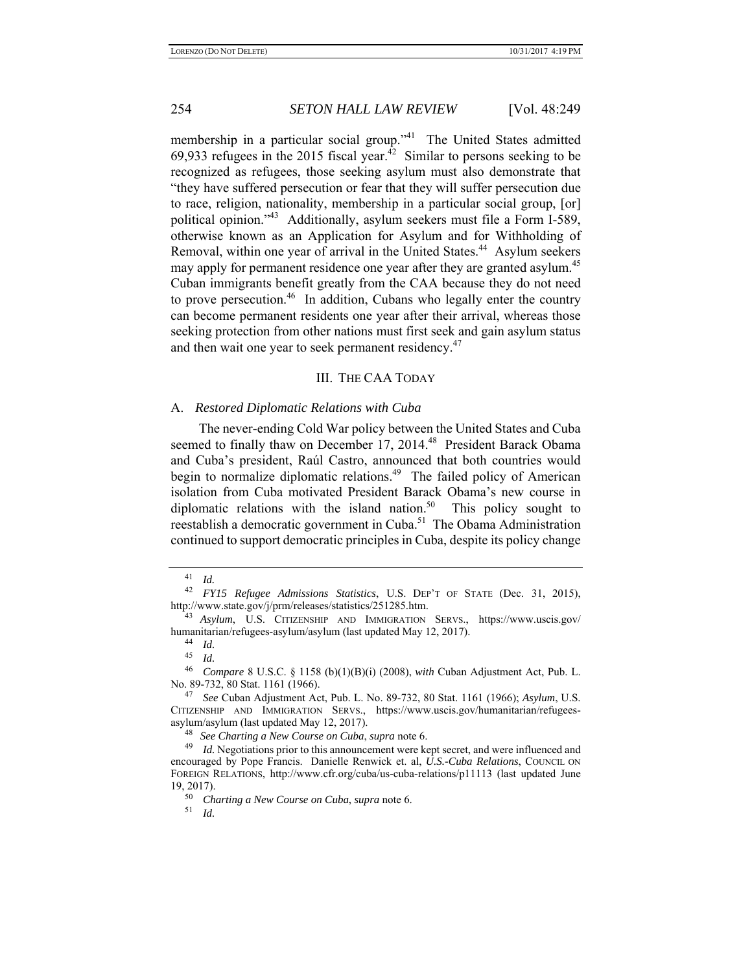membership in a particular social group."<sup>41</sup> The United States admitted 69,933 refugees in the 2015 fiscal year. $^{42}$  Similar to persons seeking to be recognized as refugees, those seeking asylum must also demonstrate that "they have suffered persecution or fear that they will suffer persecution due to race, religion, nationality, membership in a particular social group, [or] political opinion."43 Additionally, asylum seekers must file a Form I-589, otherwise known as an Application for Asylum and for Withholding of Removal, within one year of arrival in the United States.<sup>44</sup> Asylum seekers may apply for permanent residence one year after they are granted asylum.<sup>45</sup> Cuban immigrants benefit greatly from the CAA because they do not need to prove persecution.<sup>46</sup> In addition, Cubans who legally enter the country can become permanent residents one year after their arrival, whereas those seeking protection from other nations must first seek and gain asylum status and then wait one year to seek permanent residency.<sup>47</sup>

### III. THE CAA TODAY

#### A. *Restored Diplomatic Relations with Cuba*

The never-ending Cold War policy between the United States and Cuba seemed to finally thaw on December 17, 2014.<sup>48</sup> President Barack Obama and Cuba's president, Raúl Castro, announced that both countries would begin to normalize diplomatic relations.<sup>49</sup> The failed policy of American isolation from Cuba motivated President Barack Obama's new course in diplomatic relations with the island nation.<sup>50</sup> This policy sought to reestablish a democratic government in Cuba.<sup>51</sup> The Obama Administration continued to support democratic principles in Cuba, despite its policy change

<sup>48</sup> *See Charting a New Course on Cuba*, *supra* note 6.

51 *Id.*

 $\frac{41}{42}$  *Id.* 

<sup>42</sup> *FY15 Refugee Admissions Statistics*, U.S. DEP'T OF STATE (Dec. 31, 2015), http://www.state.gov/j/prm/releases/statistics/251285.htm.

<sup>43</sup> *Asylum*, U.S. CITIZENSHIP AND IMMIGRATION SERVS., https://www.uscis.gov/ humanitarian/refugees-asylum/asylum (last updated May 12, 2017). 44 *Id.*

<sup>45</sup> *Id.*

<sup>46</sup> *Compare* 8 U.S.C. § 1158 (b)(1)(B)(i) (2008), *with* Cuban Adjustment Act, Pub. L. No. 89-732, 80 Stat. 1161 (1966).

<sup>47</sup> *See* Cuban Adjustment Act, Pub. L. No. 89-732, 80 Stat. 1161 (1966); *Asylum*, U.S. CITIZENSHIP AND IMMIGRATION SERVS., https://www.uscis.gov/humanitarian/refugeesasylum/asylum (last updated May 12, 2017).

<sup>&</sup>lt;sup>49</sup> Id. Negotiations prior to this announcement were kept secret, and were influenced and encouraged by Pope Francis. Danielle Renwick et. al, *U.S.-Cuba Relations*, COUNCIL ON FOREIGN RELATIONS, http://www.cfr.org/cuba/us-cuba-relations/p11113 (last updated June  $19, 2017$ .

<sup>50</sup> *Charting a New Course on Cuba*, *supra* note 6.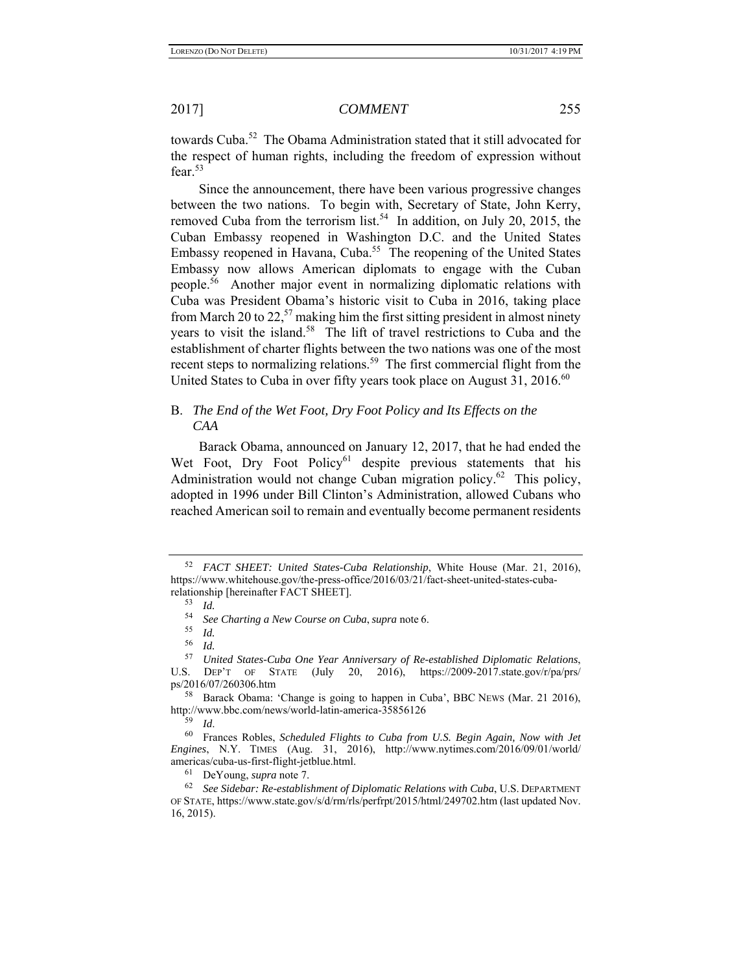towards Cuba.<sup>52</sup> The Obama Administration stated that it still advocated for the respect of human rights, including the freedom of expression without fear.<sup>53</sup>

Since the announcement, there have been various progressive changes between the two nations. To begin with, Secretary of State, John Kerry, removed Cuba from the terrorism list.<sup>54</sup> In addition, on July 20, 2015, the Cuban Embassy reopened in Washington D.C. and the United States Embassy reopened in Havana, Cuba.<sup>55</sup> The reopening of the United States Embassy now allows American diplomats to engage with the Cuban people.56 Another major event in normalizing diplomatic relations with Cuba was President Obama's historic visit to Cuba in 2016, taking place from March 20 to 22,<sup>57</sup> making him the first sitting president in almost ninety years to visit the island.58 The lift of travel restrictions to Cuba and the establishment of charter flights between the two nations was one of the most recent steps to normalizing relations.<sup>59</sup> The first commercial flight from the United States to Cuba in over fifty years took place on August  $31, 2016$ .<sup>60</sup>

## B. *The End of the Wet Foot, Dry Foot Policy and Its Effects on the CAA*

Barack Obama, announced on January 12, 2017, that he had ended the Wet Foot, Dry Foot Policy<sup>61</sup> despite previous statements that his Administration would not change Cuban migration policy.<sup>62</sup> This policy, adopted in 1996 under Bill Clinton's Administration, allowed Cubans who reached American soil to remain and eventually become permanent residents

61 DeYoung, *supra* note 7.

<sup>52</sup> *FACT SHEET: United States-Cuba Relationship*, White House (Mar. 21, 2016), https://www.whitehouse.gov/the-press-office/2016/03/21/fact-sheet-united-states-cubarelationship [hereinafter FACT SHEET].

<sup>53</sup> *Id.*

<sup>54</sup> *See Charting a New Course on Cuba*, *supra* note 6. 55 *Id.*

<sup>56</sup> *Id.* 57 *United States-Cuba One Year Anniversary of Re-established Diplomatic Relations*, U.S.  $DEF T$  OF STATE (July 20, 2016), https://2009-2017.state.gov/r/pa/prs/ ps/2016/07/260306.htm

<sup>58</sup> Barack Obama: 'Change is going to happen in Cuba', BBC NEWS (Mar. 21 2016), http://www.bbc.com/news/world-latin-america-35856126

<sup>&</sup>lt;sup>59</sup> Id.<br><sup>60</sup> Frances Robles, *Scheduled Flights to Cuba from U.S. Begin Again, Now with Jet Engines*, N.Y. TIMES (Aug. 31, 2016), http://www.nytimes.com/2016/09/01/world/ americas/cuba-us-first-flight-jetblue.html.

<sup>62</sup> *See Sidebar: Re-establishment of Diplomatic Relations with Cuba*, U.S. DEPARTMENT OF STATE, https://www.state.gov/s/d/rm/rls/perfrpt/2015/html/249702.htm (last updated Nov. 16, 2015).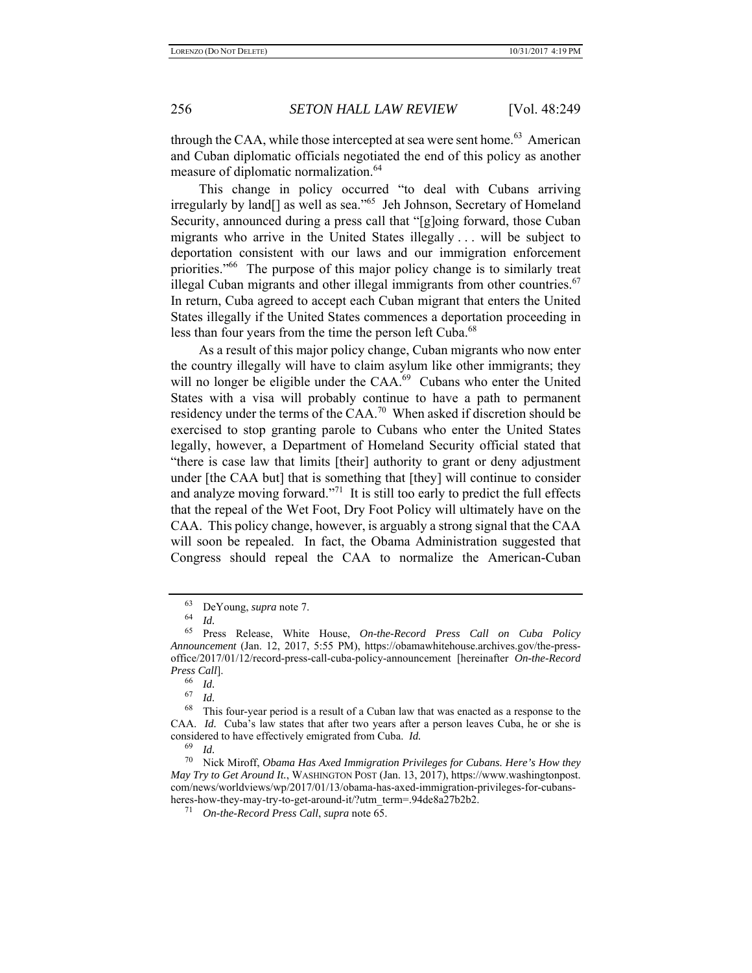through the CAA, while those intercepted at sea were sent home.<sup>63</sup> American and Cuban diplomatic officials negotiated the end of this policy as another measure of diplomatic normalization.<sup>64</sup>

This change in policy occurred "to deal with Cubans arriving irregularly by land[] as well as sea."65 Jeh Johnson, Secretary of Homeland Security, announced during a press call that "[g]oing forward, those Cuban migrants who arrive in the United States illegally . . . will be subject to deportation consistent with our laws and our immigration enforcement priorities."<sup>66</sup> The purpose of this major policy change is to similarly treat illegal Cuban migrants and other illegal immigrants from other countries.<sup>67</sup> In return, Cuba agreed to accept each Cuban migrant that enters the United States illegally if the United States commences a deportation proceeding in less than four years from the time the person left Cuba.<sup>68</sup>

As a result of this major policy change, Cuban migrants who now enter the country illegally will have to claim asylum like other immigrants; they will no longer be eligible under the CAA.<sup>69</sup> Cubans who enter the United States with a visa will probably continue to have a path to permanent residency under the terms of the CAA.<sup>70</sup> When asked if discretion should be exercised to stop granting parole to Cubans who enter the United States legally, however, a Department of Homeland Security official stated that "there is case law that limits [their] authority to grant or deny adjustment under [the CAA but] that is something that [they] will continue to consider and analyze moving forward."<sup>71</sup> It is still too early to predict the full effects that the repeal of the Wet Foot, Dry Foot Policy will ultimately have on the CAA. This policy change, however, is arguably a strong signal that the CAA will soon be repealed. In fact, the Obama Administration suggested that Congress should repeal the CAA to normalize the American-Cuban

<sup>63</sup> DeYoung, *supra* note 7.

<sup>64</sup>*Id.* 65Press Release, White House, *On-the-Record Press Call on Cuba Policy Announcement* (Jan. 12, 2017, 5:55 PM), https://obamawhitehouse.archives.gov/the-pressoffice/2017/01/12/record-press-call-cuba-policy-announcement [hereinafter *On-the-Record Press Call*].

<sup>66</sup>*Id.* 67 *Id.*

This four-year period is a result of a Cuban law that was enacted as a response to the CAA. *Id.* Cuba's law states that after two years after a person leaves Cuba, he or she is considered to have effectively emigrated from Cuba. *Id.*

<sup>69</sup>*Id.* 70 Nick Miroff, *Obama Has Axed Immigration Privileges for Cubans. Here's How they May Try to Get Around It.*, WASHINGTON POST (Jan. 13, 2017), https://www.washingtonpost. com/news/worldviews/wp/2017/01/13/obama-has-axed-immigration-privileges-for-cubansheres-how-they-may-try-to-get-around-it/?utm\_term=.94de8a27b2b2. 71 *On-the-Record Press Call*, *supra* note 65.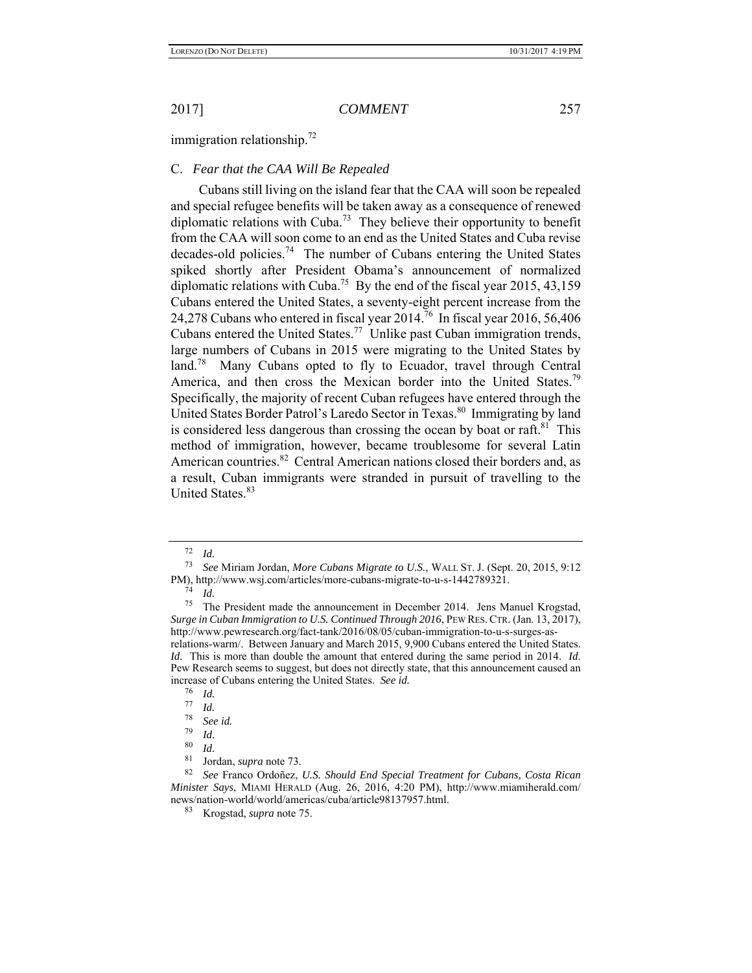immigration relationship.<sup>72</sup>

## C. *Fear that the CAA Will Be Repealed*

Cubans still living on the island fear that the CAA will soon be repealed and special refugee benefits will be taken away as a consequence of renewed diplomatic relations with Cuba.<sup>73</sup> They believe their opportunity to benefit from the CAA will soon come to an end as the United States and Cuba revise decades-old policies.<sup>74</sup> The number of Cubans entering the United States spiked shortly after President Obama's announcement of normalized diplomatic relations with Cuba.<sup>75</sup> By the end of the fiscal year 2015, 43,159 Cubans entered the United States, a seventy-eight percent increase from the 24,278 Cubans who entered in fiscal year  $2014^{76}$  In fiscal year 2016, 56,406 Cubans entered the United States.<sup>77</sup> Unlike past Cuban immigration trends, large numbers of Cubans in 2015 were migrating to the United States by land.<sup>78</sup> Many Cubans opted to fly to Ecuador, travel through Central America, and then cross the Mexican border into the United States.<sup>79</sup> Specifically, the majority of recent Cuban refugees have entered through the United States Border Patrol's Laredo Sector in Texas.<sup>80</sup> Immigrating by land is considered less dangerous than crossing the ocean by boat or raft.<sup>81</sup> This method of immigration, however, became troublesome for several Latin American countries.<sup>82</sup> Central American nations closed their borders and, as a result, Cuban immigrants were stranded in pursuit of travelling to the United States.<sup>83</sup>

 $\frac{72}{73}$  *Id.* 

<sup>73</sup> *See* Miriam Jordan, *More Cubans Migrate to U.S.*, WALL ST. J. (Sept. 20, 2015, 9:12 PM), http://www.wsj.com/articles/more-cubans-migrate-to-u-s-1442789321.

 $\frac{74}{75}$  *Id.* 

The President made the announcement in December 2014. Jens Manuel Krogstad, *Surge in Cuban Immigration to U.S. Continued Through 2016*, PEW RES.CTR. (Jan. 13, 2017), http://www.pewresearch.org/fact-tank/2016/08/05/cuban-immigration-to-u-s-surges-asrelations-warm/. Between January and March 2015, 9,900 Cubans entered the United States. *Id.* This is more than double the amount that entered during the same period in 2014. *Id*. Pew Research seems to suggest, but does not directly state, that this announcement caused an increase of Cubans entering the United States. *See id.* <sup>76</sup> *Id.* <sup>77</sup> *Id.* <sup>78</sup> *See id.* 

<sup>78</sup>*See id.* 79 *Id.* 80 *Id.*

<sup>81</sup> Jordan, *supra* note 73.

<sup>82</sup> *See* Franco Ordoñez, *U.S. Should End Special Treatment for Cubans, Costa Rican Minister Says*, MIAMI HERALD (Aug. 26, 2016, 4:20 PM), http://www.miamiherald.com/ news/nation-world/world/americas/cuba/article98137957.html.

<sup>83</sup> Krogstad, *supra* note 75.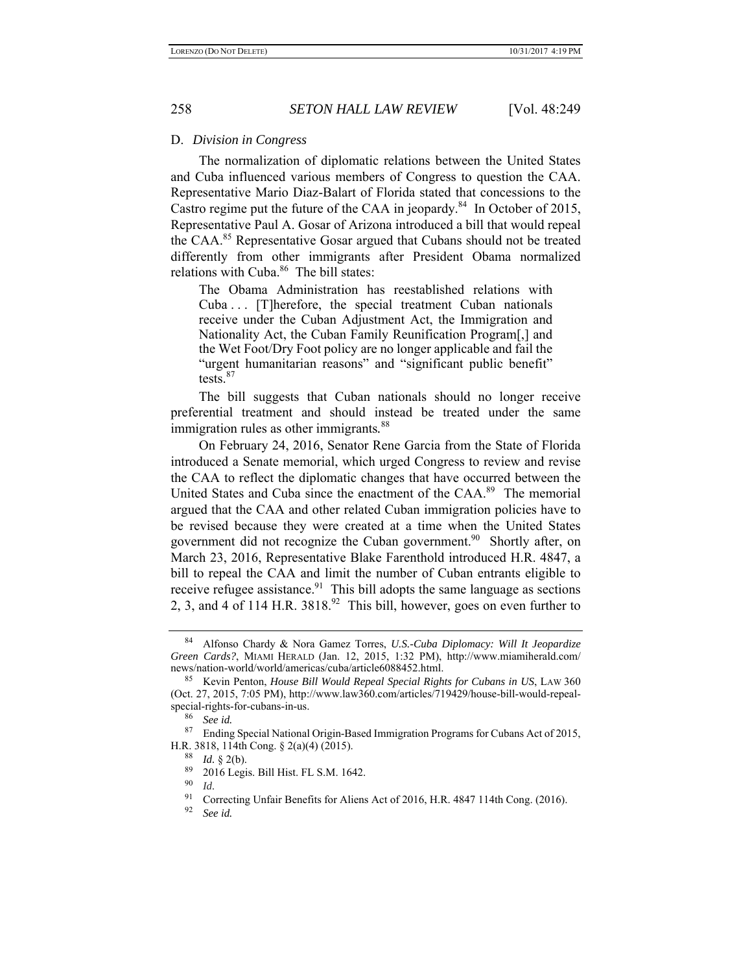#### D. *Division in Congress*

The normalization of diplomatic relations between the United States and Cuba influenced various members of Congress to question the CAA. Representative Mario Diaz-Balart of Florida stated that concessions to the Castro regime put the future of the CAA in jeopardy.<sup>84</sup> In October of 2015, Representative Paul A. Gosar of Arizona introduced a bill that would repeal the CAA.<sup>85</sup> Representative Gosar argued that Cubans should not be treated differently from other immigrants after President Obama normalized relations with Cuba.<sup>86</sup> The bill states:

The Obama Administration has reestablished relations with Cuba ... [T]herefore, the special treatment Cuban nationals receive under the Cuban Adjustment Act, the Immigration and Nationality Act, the Cuban Family Reunification Program[,] and the Wet Foot/Dry Foot policy are no longer applicable and fail the "urgent humanitarian reasons" and "significant public benefit" tests.<sup>87</sup>

The bill suggests that Cuban nationals should no longer receive preferential treatment and should instead be treated under the same immigration rules as other immigrants*.* 88

On February 24, 2016, Senator Rene Garcia from the State of Florida introduced a Senate memorial, which urged Congress to review and revise the CAA to reflect the diplomatic changes that have occurred between the United States and Cuba since the enactment of the CAA.<sup>89</sup> The memorial argued that the CAA and other related Cuban immigration policies have to be revised because they were created at a time when the United States government did not recognize the Cuban government.<sup>90</sup> Shortly after, on March 23, 2016, Representative Blake Farenthold introduced H.R. 4847, a bill to repeal the CAA and limit the number of Cuban entrants eligible to receive refugee assistance.<sup>91</sup> This bill adopts the same language as sections 2, 3, and 4 of 114 H.R.  $3818<sup>92</sup>$  This bill, however, goes on even further to

<sup>84</sup> Alfonso Chardy & Nora Gamez Torres, *U.S.-Cuba Diplomacy: Will It Jeopardize Green Cards?*, MIAMI HERALD (Jan. 12, 2015, 1:32 PM), http://www.miamiherald.com/ news/nation-world/world/americas/cuba/article6088452.html.

<sup>85</sup> Kevin Penton, *House Bill Would Repeal Special Rights for Cubans in US*, LAW 360 (Oct. 27, 2015, 7:05 PM), http://www.law360.com/articles/719429/house-bill-would-repealspecial-rights-for-cubans-in-us.

 $\frac{86}{87}$  *See id.* 

Ending Special National Origin-Based Immigration Programs for Cubans Act of 2015, H.R. 3818, 114th Cong. § 2(a)(4) (2015).

 $\frac{88}{89}$  *Id.* § 2(b).

 $^{89}$  2016 Legis. Bill Hist. FL S.M. 1642.

 $^{90}$  *Id.*<br>91 Co

<sup>&</sup>lt;sup>91</sup> Correcting Unfair Benefits for Aliens Act of 2016, H.R. 4847 114th Cong. (2016).<br><sup>92</sup> Seg id

See id.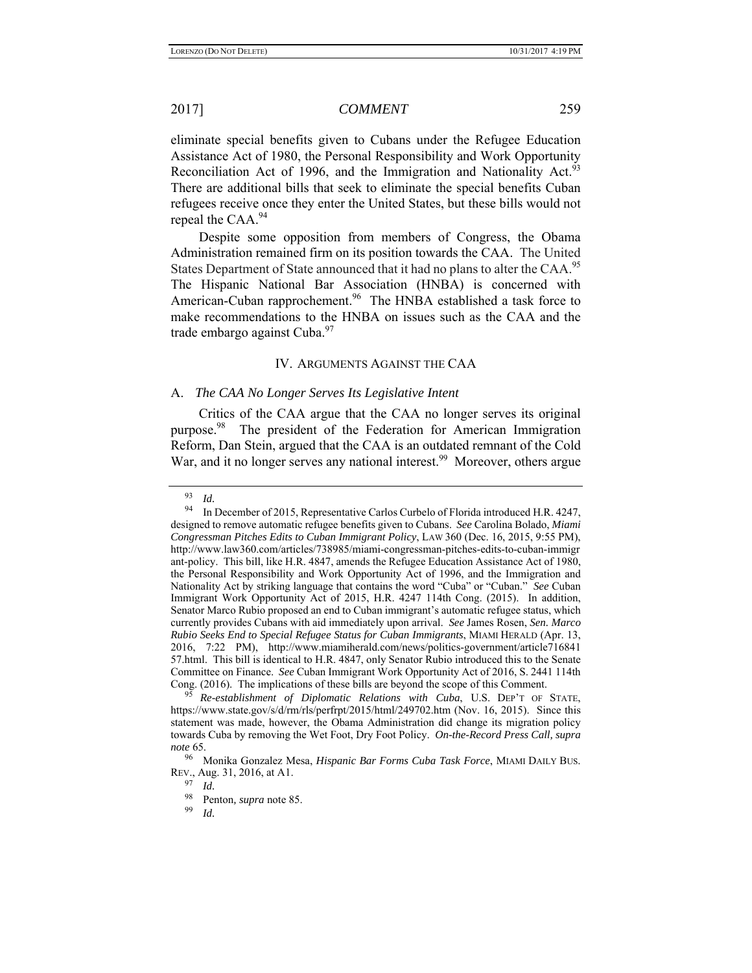eliminate special benefits given to Cubans under the Refugee Education Assistance Act of 1980, the Personal Responsibility and Work Opportunity Reconciliation Act of 1996, and the Immigration and Nationality Act.<sup>93</sup> There are additional bills that seek to eliminate the special benefits Cuban refugees receive once they enter the United States, but these bills would not repeal the CAA.<sup>94</sup>

Despite some opposition from members of Congress, the Obama Administration remained firm on its position towards the CAA. The United States Department of State announced that it had no plans to alter the CAA.<sup>95</sup> The Hispanic National Bar Association (HNBA) is concerned with American-Cuban rapprochement.<sup>96</sup> The HNBA established a task force to make recommendations to the HNBA on issues such as the CAA and the trade embargo against Cuba.<sup>97</sup>

### IV. ARGUMENTS AGAINST THE CAA

### A. *The CAA No Longer Serves Its Legislative Intent*

Critics of the CAA argue that the CAA no longer serves its original purpose.<sup>98</sup> The president of the Federation for American Immigration Reform, Dan Stein, argued that the CAA is an outdated remnant of the Cold War, and it no longer serves any national interest.<sup>99</sup> Moreover, others argue

 $\frac{93}{94}$  *Id.* 

<sup>94</sup> In December of 2015, Representative Carlos Curbelo of Florida introduced H.R. 4247, designed to remove automatic refugee benefits given to Cubans. *See* Carolina Bolado, *Miami Congressman Pitches Edits to Cuban Immigrant Policy*, LAW 360 (Dec. 16, 2015, 9:55 PM), http://www.law360.com/articles/738985/miami-congressman-pitches-edits-to-cuban-immigr ant-policy. This bill, like H.R. 4847, amends the Refugee Education Assistance Act of 1980, the Personal Responsibility and Work Opportunity Act of 1996, and the Immigration and Nationality Act by striking language that contains the word "Cuba" or "Cuban." *See* Cuban Immigrant Work Opportunity Act of 2015, H.R. 4247 114th Cong. (2015). In addition, Senator Marco Rubio proposed an end to Cuban immigrant's automatic refugee status, which currently provides Cubans with aid immediately upon arrival. *See* James Rosen, *Sen. Marco Rubio Seeks End to Special Refugee Status for Cuban Immigrants*, MIAMI HERALD (Apr. 13, 2016, 7:22 PM), http://www.miamiherald.com/news/politics-government/article716841 57.html. This bill is identical to H.R. 4847, only Senator Rubio introduced this to the Senate Committee on Finance. *See* Cuban Immigrant Work Opportunity Act of 2016, S. 2441 114th Cong. (2016). The implications of these bills are beyond the scope of this Comment.

<sup>95</sup> *Re-establishment of Diplomatic Relations with Cuba*, U.S. DEP'T OF STATE, https://www.state.gov/s/d/rm/rls/perfrpt/2015/html/249702.htm (Nov. 16, 2015). Since this statement was made, however, the Obama Administration did change its migration policy towards Cuba by removing the Wet Foot, Dry Foot Policy. *On-the-Record Press Call, supra note* 65.

<sup>96</sup> Monika Gonzalez Mesa, *Hispanic Bar Forms Cuba Task Force*, MIAMI DAILY BUS. REV., Aug. 31, 2016, at A1.

<sup>97</sup>*Id.* 98 Penton*, supra* note 85.

*Id.*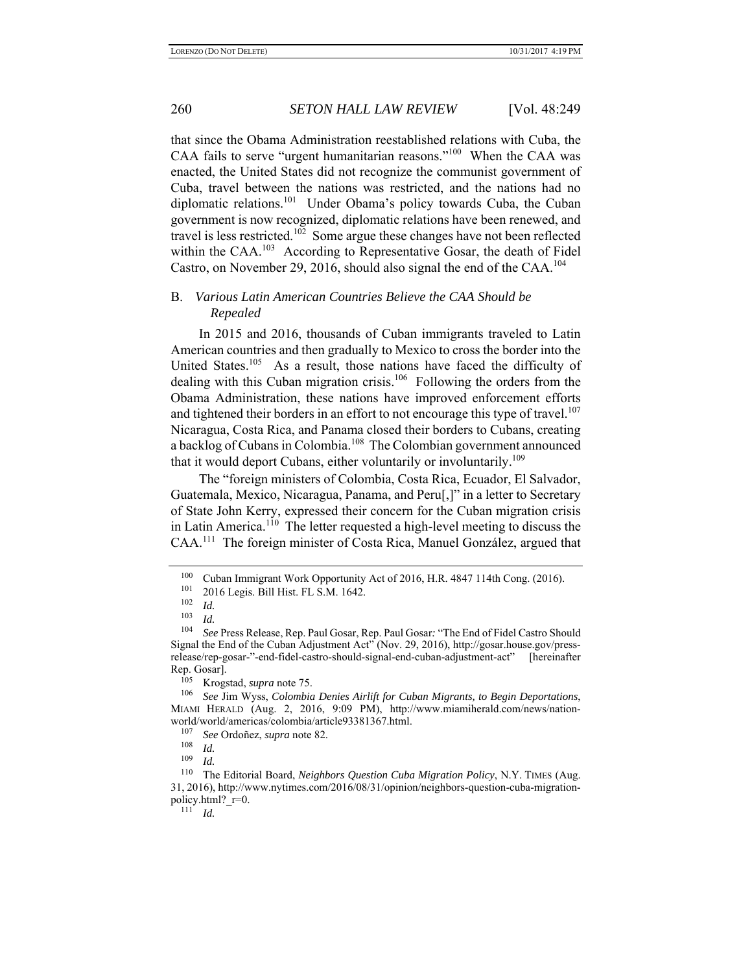that since the Obama Administration reestablished relations with Cuba, the CAA fails to serve "urgent humanitarian reasons."<sup>100</sup> When the CAA was enacted, the United States did not recognize the communist government of Cuba, travel between the nations was restricted, and the nations had no diplomatic relations.<sup>101</sup> Under Obama's policy towards Cuba, the Cuban government is now recognized, diplomatic relations have been renewed, and travel is less restricted.<sup>102</sup> Some argue these changes have not been reflected within the CAA.<sup>103</sup> According to Representative Gosar, the death of Fidel Castro, on November 29, 2016, should also signal the end of the CAA.<sup>104</sup>

## B. *Various Latin American Countries Believe the CAA Should be Repealed*

In 2015 and 2016, thousands of Cuban immigrants traveled to Latin American countries and then gradually to Mexico to cross the border into the United States.<sup>105</sup> As a result, those nations have faced the difficulty of dealing with this Cuban migration crisis.<sup>106</sup> Following the orders from the Obama Administration, these nations have improved enforcement efforts and tightened their borders in an effort to not encourage this type of travel.<sup>107</sup> Nicaragua, Costa Rica, and Panama closed their borders to Cubans, creating a backlog of Cubans in Colombia.<sup>108</sup> The Colombian government announced that it would deport Cubans, either voluntarily or involuntarily.<sup>109</sup>

The "foreign ministers of Colombia, Costa Rica, Ecuador, El Salvador, Guatemala, Mexico, Nicaragua, Panama, and Peru[,]" in a letter to Secretary of State John Kerry, expressed their concern for the Cuban migration crisis in Latin America.<sup>110</sup> The letter requested a high-level meeting to discuss the CAA.111 The foreign minister of Costa Rica, Manuel González, argued that

<sup>&</sup>lt;sup>100</sup> Cuban Immigrant Work Opportunity Act of 2016, H.R. 4847 114th Cong. (2016).<br><sup>101</sup> 2016 Legis Bill Hist FL S M 1642

 $^{101}$  2016 Legis. Bill Hist. FL S.M. 1642.

<sup>102</sup> *Id.* 103 *Id.* 104 *See* Press Release, Rep. Paul Gosar, Rep. Paul Gosar*:* "The End of Fidel Castro Should Signal the End of the Cuban Adjustment Act" (Nov. 29, 2016), http://gosar.house.gov/pressrelease/rep-gosar-"-end-fidel-castro-should-signal-end-cuban-adjustment-act" [hereinafter Rep. Gosar].

<sup>&</sup>lt;sup>105</sup> Krogstad, *supra* note 75.<br><sup>106</sup> See Jim Wyss, Colombia

<sup>106</sup> *See* Jim Wyss, *Colombia Denies Airlift for Cuban Migrants, to Begin Deportations*, MIAMI HERALD (Aug. 2, 2016, 9:09 PM), http://www.miamiherald.com/news/nationworld/world/americas/colombia/article93381367.html.

<sup>107</sup> *See* Ordoñez, *supra* note 82.

<sup>108</sup> *Id.* 109 *Id.*

<sup>&</sup>lt;sup>110</sup> The Editorial Board, *Neighbors Question Cuba Migration Policy*, N.Y. TIMES (Aug. 31, 2016), http://www.nytimes.com/2016/08/31/opinion/neighbors-question-cuba-migrationpolicy.html? $r=0$ .<br><sup>111</sup> *Id.*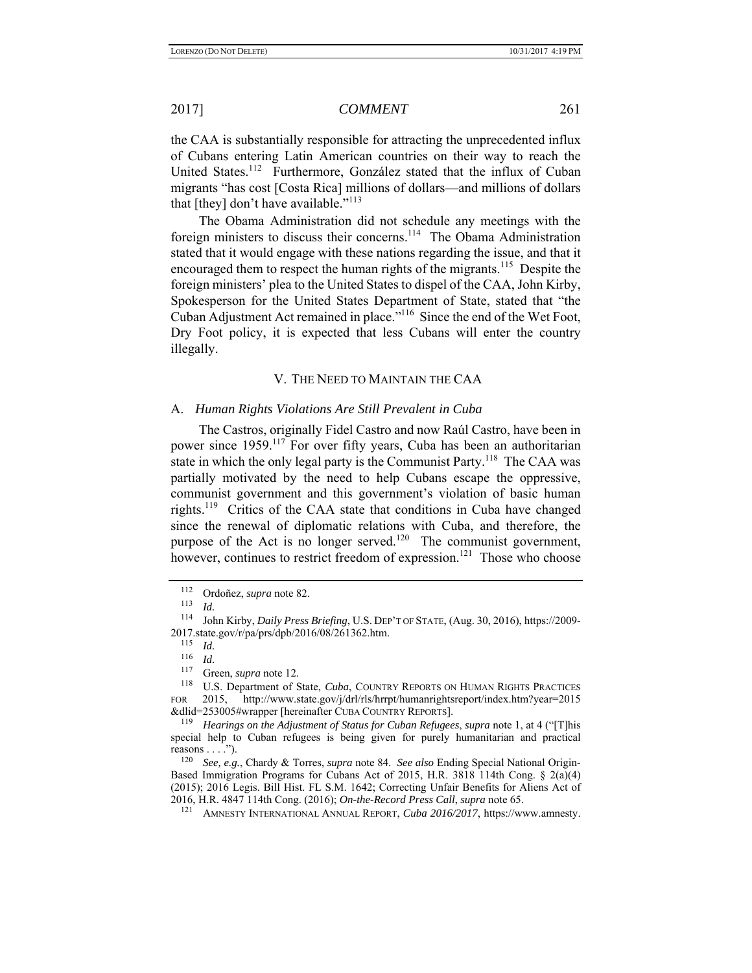the CAA is substantially responsible for attracting the unprecedented influx of Cubans entering Latin American countries on their way to reach the United States.<sup>112</sup> Furthermore, González stated that the influx of Cuban migrants "has cost [Costa Rica] millions of dollars—and millions of dollars that [they] don't have available."<sup>113</sup>

The Obama Administration did not schedule any meetings with the foreign ministers to discuss their concerns.<sup>114</sup> The Obama Administration stated that it would engage with these nations regarding the issue, and that it encouraged them to respect the human rights of the migrants.<sup>115</sup> Despite the foreign ministers' plea to the United States to dispel of the CAA, John Kirby, Spokesperson for the United States Department of State, stated that "the Cuban Adjustment Act remained in place."116 Since the end of the Wet Foot, Dry Foot policy, it is expected that less Cubans will enter the country illegally.

### V. THE NEED TO MAINTAIN THE CAA

#### A. *Human Rights Violations Are Still Prevalent in Cuba*

The Castros, originally Fidel Castro and now Raúl Castro, have been in power since 1959.<sup>117</sup> For over fifty years, Cuba has been an authoritarian state in which the only legal party is the Communist Party.<sup>118</sup> The CAA was partially motivated by the need to help Cubans escape the oppressive, communist government and this government's violation of basic human rights.<sup>119</sup> Critics of the CAA state that conditions in Cuba have changed since the renewal of diplomatic relations with Cuba, and therefore, the purpose of the Act is no longer served.<sup>120</sup> The communist government, however, continues to restrict freedom of expression.<sup>121</sup> Those who choose

<sup>112</sup> Ordoñez, *supra* note 82.

*Id.* 

<sup>114</sup> John Kirby, *Daily Press Briefing*, U.S. DEP'T OF STATE, (Aug. 30, 2016), https://2009- 2017.state.gov/r/pa/prs/dpb/2016/08/261362.htm.

 $\frac{115}{116}$  *Id.* 

 $\frac{116}{117}$  *Id.* 

Green, *supra* note 12.

<sup>&</sup>lt;sup>118</sup> U.S. Department of State, *Cuba*, COUNTRY REPORTS ON HUMAN RIGHTS PRACTICES FOR 2015, http://www.state.gov/j/drl/rls/hrrpt/humanrightsreport/index.htm?year=2015 &dlid=253005#wrapper [hereinafter CUBA COUNTRY REPORTS].

<sup>119</sup> *Hearings on the Adjustment of Status for Cuban Refugees*, *supra* note 1, at 4 ("[T]his special help to Cuban refugees is being given for purely humanitarian and practical reasons  $\dots$ .").<br> $\frac{120}{500}$ 

<sup>120</sup> *See, e.g.*, Chardy & Torres, *supra* note 84. *See also* Ending Special National Origin-Based Immigration Programs for Cubans Act of 2015, H.R. 3818 114th Cong. § 2(a)(4) (2015); 2016 Legis. Bill Hist. FL S.M. 1642; Correcting Unfair Benefits for Aliens Act of 2016, H.R. 4847 114th Cong. (2016); *On-the-Record Press Call*, *supra* note 65. 121 AMNESTY INTERNATIONAL ANNUAL REPORT, *Cuba 2016/2017*, https://www.amnesty.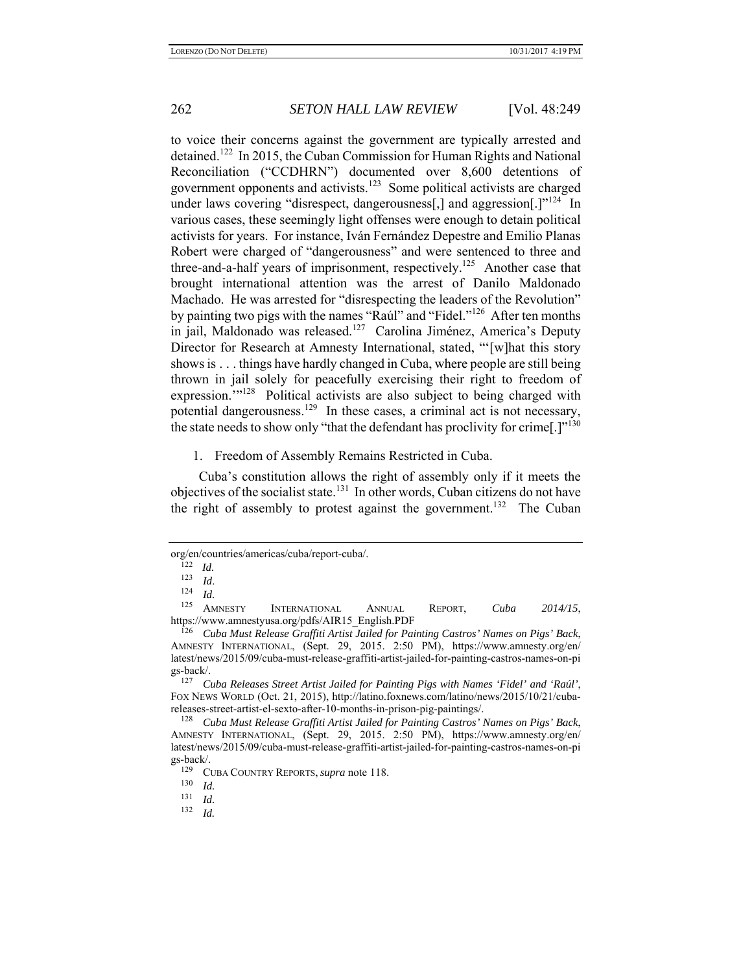to voice their concerns against the government are typically arrested and detained.122 In 2015, the Cuban Commission for Human Rights and National Reconciliation ("CCDHRN") documented over 8,600 detentions of government opponents and activists.123 Some political activists are charged under laws covering "disrespect, dangerousness<sup>[1]</sup> and aggression<sup>[1]</sup><sup>124</sup> In various cases, these seemingly light offenses were enough to detain political activists for years. For instance, Iván Fernández Depestre and Emilio Planas Robert were charged of "dangerousness" and were sentenced to three and three-and-a-half years of imprisonment, respectively.<sup>125</sup> Another case that brought international attention was the arrest of Danilo Maldonado Machado. He was arrested for "disrespecting the leaders of the Revolution" by painting two pigs with the names "Raúl" and "Fidel."<sup>126</sup> After ten months in jail, Maldonado was released.127 Carolina Jiménez, America's Deputy Director for Research at Amnesty International, stated, "'[w]hat this story shows is . . . things have hardly changed in Cuba, where people are still being thrown in jail solely for peacefully exercising their right to freedom of expression."<sup>128</sup> Political activists are also subject to being charged with potential dangerousness.<sup>129</sup> In these cases, a criminal act is not necessary, the state needs to show only "that the defendant has proclivity for crime[.] $"^{130}$ 

1. Freedom of Assembly Remains Restricted in Cuba.

Cuba's constitution allows the right of assembly only if it meets the objectives of the socialist state.<sup>131</sup> In other words, Cuban citizens do not have the right of assembly to protest against the government.<sup>132</sup> The Cuban

org/en/countries/americas/cuba/report-cuba/. 122 *Id.*

<sup>123</sup>*Id*. 124 *Id.*

<sup>125</sup>AMNESTY INTERNATIONAL ANNUAL REPORT, *Cuba 2014/15*, https://www.amnestyusa.org/pdfs/AIR15\_English.PDF

<sup>126</sup> *Cuba Must Release Graffiti Artist Jailed for Painting Castros' Names on Pigs' Back*, AMNESTY INTERNATIONAL, (Sept. 29, 2015. 2:50 PM), https://www.amnesty.org/en/ latest/news/2015/09/cuba-must-release-graffiti-artist-jailed-for-painting-castros-names-on-pi gs-back/.

<sup>127</sup> *Cuba Releases Street Artist Jailed for Painting Pigs with Names 'Fidel' and 'Raúl'*, FOX NEWS WORLD (Oct. 21, 2015), http://latino.foxnews.com/latino/news/2015/10/21/cubareleases-street-artist-el-sexto-after-10-months-in-prison-pig-paintings/.

<sup>128</sup> *Cuba Must Release Graffiti Artist Jailed for Painting Castros' Names on Pigs' Back*, AMNESTY INTERNATIONAL, (Sept. 29, 2015. 2:50 PM), https://www.amnesty.org/en/ latest/news/2015/09/cuba-must-release-graffiti-artist-jailed-for-painting-castros-names-on-pi  $gs-back/$ .

<sup>&</sup>lt;sup>129</sup> CUBA COUNTRY REPORTS, *supra* note 118.<br><sup>130</sup> Id

 $\frac{130}{131}$  *Id.* 

 $\frac{131}{132}$  *Id.* 

<sup>132</sup> *Id.*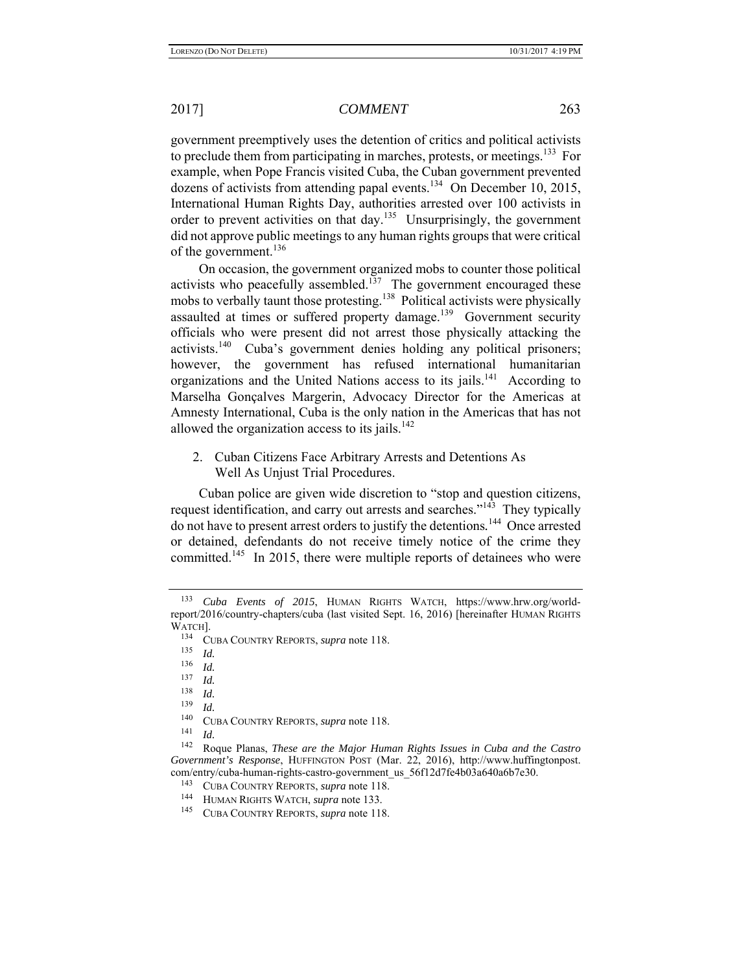government preemptively uses the detention of critics and political activists to preclude them from participating in marches, protests, or meetings.<sup>133</sup>For example, when Pope Francis visited Cuba, the Cuban government prevented dozens of activists from attending papal events.<sup>134</sup> On December 10, 2015, International Human Rights Day, authorities arrested over 100 activists in order to prevent activities on that day.<sup>135</sup> Unsurprisingly, the government did not approve public meetings to any human rights groups that were critical of the government.<sup>136</sup>

On occasion, the government organized mobs to counter those political activists who peacefully assembled.<sup>137</sup> The government encouraged these mobs to verbally taunt those protesting.<sup>138</sup> Political activists were physically assaulted at times or suffered property damage.<sup>139</sup> Government security officials who were present did not arrest those physically attacking the activists.<sup>140</sup> Cuba's government denies holding any political prisoners; however, the government has refused international humanitarian organizations and the United Nations access to its jails.<sup>141</sup> According to Marselha Gonçalves Margerin, Advocacy Director for the Americas at Amnesty International, Cuba is the only nation in the Americas that has not allowed the organization access to its jails. $142$ 

2. Cuban Citizens Face Arbitrary Arrests and Detentions As Well As Unjust Trial Procedures.

Cuban police are given wide discretion to "stop and question citizens, request identification, and carry out arrests and searches."<sup>143</sup> They typically do not have to present arrest orders to justify the detentions*.* <sup>144</sup>Once arrested or detained, defendants do not receive timely notice of the crime they committed.<sup>145</sup> In 2015, there were multiple reports of detainees who were

<sup>133</sup> *Cuba Events of 2015*, HUMAN RIGHTS WATCH, https://www.hrw.org/worldreport/2016/country-chapters/cuba (last visited Sept. 16, 2016) [hereinafter HUMAN RIGHTS WATCH].

<sup>134</sup> CUBA COUNTRY REPORTS, *supra* note 118.

<sup>135</sup> *Id.* 136 *Id.*

 $\frac{137}{138}$  *Id.* 

 $\frac{138}{139}$  *Id. Id.* 

<sup>140</sup>CUBA COUNTRY REPORTS, *supra* note 118. 141 *Id.* 142 Roque Planas, *These are the Major Human Rights Issues in Cuba and the Castro Government's Response*, HUFFINGTON POST (Mar. 22, 2016), http://www.huffingtonpost. com/entry/cuba-human-rights-castro-government\_us\_56f12d7fe4b03a640a6b7e30.

<sup>143</sup> CUBA COUNTRY REPORTS, *supra* note 118. 144 HUMAN RIGHTS WATCH, *supra* note 133.

<sup>145</sup> CUBA COUNTRY REPORTS, *supra* note 118.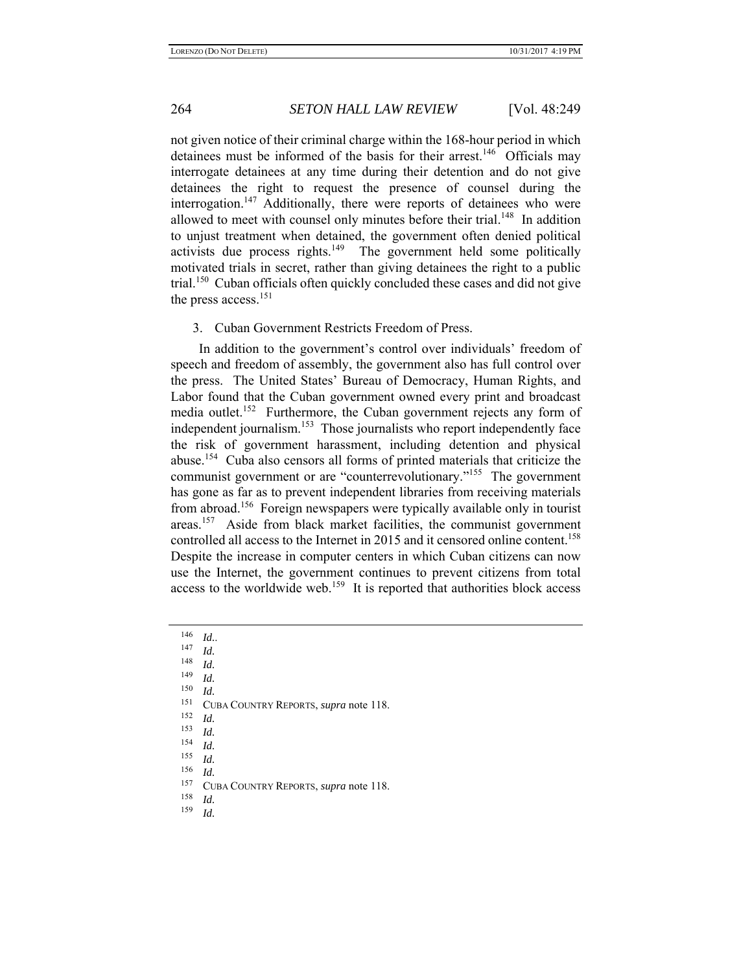not given notice of their criminal charge within the 168-hour period in which detainees must be informed of the basis for their arrest.<sup>146</sup> Officials may interrogate detainees at any time during their detention and do not give detainees the right to request the presence of counsel during the interrogation.<sup>147</sup> Additionally, there were reports of detainees who were allowed to meet with counsel only minutes before their trial.<sup>148</sup> In addition to unjust treatment when detained, the government often denied political activists due process rights. $149$  The government held some politically motivated trials in secret, rather than giving detainees the right to a public trial.<sup>150</sup> Cuban officials often quickly concluded these cases and did not give the press access.<sup>151</sup>

3. Cuban Government Restricts Freedom of Press.

In addition to the government's control over individuals' freedom of speech and freedom of assembly, the government also has full control over the press. The United States' Bureau of Democracy, Human Rights, and Labor found that the Cuban government owned every print and broadcast media outlet.<sup>152</sup> Furthermore, the Cuban government rejects any form of independent journalism.153 Those journalists who report independently face the risk of government harassment, including detention and physical abuse.154 Cuba also censors all forms of printed materials that criticize the communist government or are "counterrevolutionary."<sup>155</sup> The government has gone as far as to prevent independent libraries from receiving materials from abroad.156 Foreign newspapers were typically available only in tourist areas.157 Aside from black market facilities, the communist government controlled all access to the Internet in 2015 and it censored online content.<sup>158</sup> Despite the increase in computer centers in which Cuban citizens can now use the Internet, the government continues to prevent citizens from total access to the worldwide web.<sup>159</sup> It is reported that authorities block access

- 
- <sup>151</sup> CUBA COUNTRY REPORTS, *supra* note 118.
- 
- 

- $\frac{158}{159}$  *Id.*
- *Id.*

<sup>146</sup> *Id.*. 147 *Id.* 148 *Id.* 149 *Id.* 150 *Id.*

<sup>152</sup> *Id.*<br>
153 *Id.*<br>
155 *Id.*<br>
155 *Id.*<br>
157 CUBA COUNTRY REPORTS, *supra* note 118.<br>
158 *Id.*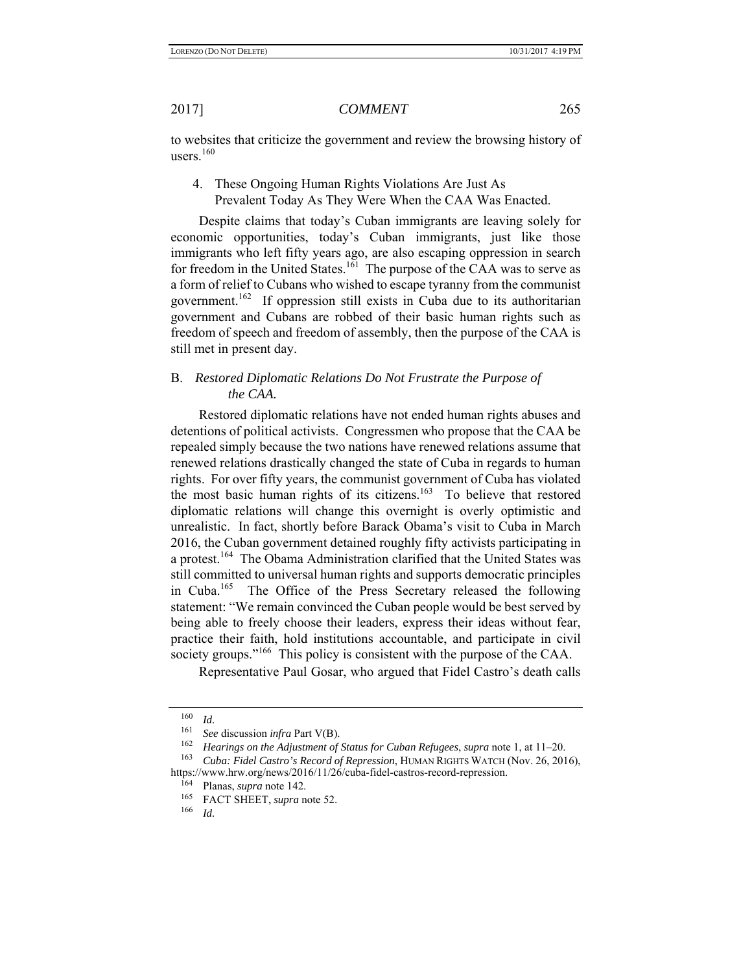to websites that criticize the government and review the browsing history of users. $160$ 

4. These Ongoing Human Rights Violations Are Just As Prevalent Today As They Were When the CAA Was Enacted.

Despite claims that today's Cuban immigrants are leaving solely for economic opportunities, today's Cuban immigrants, just like those immigrants who left fifty years ago, are also escaping oppression in search for freedom in the United States.<sup>161</sup> The purpose of the CAA was to serve as a form of relief to Cubans who wished to escape tyranny from the communist government.162 If oppression still exists in Cuba due to its authoritarian government and Cubans are robbed of their basic human rights such as freedom of speech and freedom of assembly, then the purpose of the CAA is still met in present day.

## B. *Restored Diplomatic Relations Do Not Frustrate the Purpose of the CAA.*

Restored diplomatic relations have not ended human rights abuses and detentions of political activists. Congressmen who propose that the CAA be repealed simply because the two nations have renewed relations assume that renewed relations drastically changed the state of Cuba in regards to human rights. For over fifty years, the communist government of Cuba has violated the most basic human rights of its citizens.<sup>163</sup> To believe that restored diplomatic relations will change this overnight is overly optimistic and unrealistic. In fact, shortly before Barack Obama's visit to Cuba in March 2016, the Cuban government detained roughly fifty activists participating in a protest.<sup>164</sup> The Obama Administration clarified that the United States was still committed to universal human rights and supports democratic principles in Cuba.165 The Office of the Press Secretary released the following statement: "We remain convinced the Cuban people would be best served by being able to freely choose their leaders, express their ideas without fear, practice their faith, hold institutions accountable, and participate in civil society groups."<sup>166</sup> This policy is consistent with the purpose of the CAA.

Representative Paul Gosar, who argued that Fidel Castro's death calls

 $\frac{160}{161}$  *Id.* 

<sup>&</sup>lt;sup>161</sup> See discussion *infra* Part V(B).<br><sup>162</sup> Heavings on the Adjustment of

<sup>162</sup> *Hearings on the Adjustment of Status for Cuban Refugees*, *supra* note 1, at 11–20.

<sup>163</sup> *Cuba: Fidel Castro's Record of Repression*, HUMAN RIGHTS WATCH (Nov. 26, 2016), https://www.hrw.org/news/2016/11/26/cuba-fidel-castros-record-repression.

 $\frac{164}{165}$  Planas, *supra* note 142.

<sup>&</sup>lt;sup>165</sup> FACT SHEET, *supra* note 52.<br><sup>166</sup> Id

<sup>166</sup> *Id.*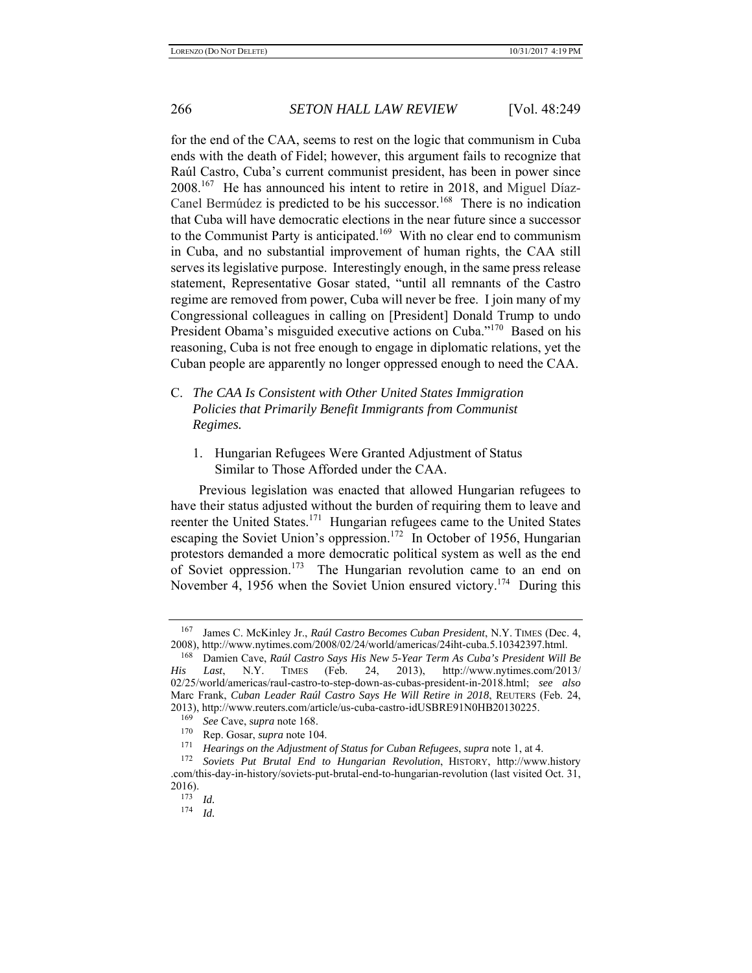for the end of the CAA, seems to rest on the logic that communism in Cuba ends with the death of Fidel; however, this argument fails to recognize that Raúl Castro, Cuba's current communist president, has been in power since 2008.<sup>167</sup> He has announced his intent to retire in 2018, and Miguel Díaz-Canel Bermúdez is predicted to be his successor.<sup>168</sup> There is no indication that Cuba will have democratic elections in the near future since a successor to the Communist Party is anticipated.<sup>169</sup> With no clear end to communism in Cuba, and no substantial improvement of human rights, the CAA still serves its legislative purpose. Interestingly enough, in the same press release statement, Representative Gosar stated, "until all remnants of the Castro regime are removed from power, Cuba will never be free. I join many of my Congressional colleagues in calling on [President] Donald Trump to undo President Obama's misguided executive actions on Cuba."<sup>170</sup> Based on his reasoning, Cuba is not free enough to engage in diplomatic relations, yet the Cuban people are apparently no longer oppressed enough to need the CAA.

## C. *The CAA Is Consistent with Other United States Immigration Policies that Primarily Benefit Immigrants from Communist Regimes.*

1. Hungarian Refugees Were Granted Adjustment of Status Similar to Those Afforded under the CAA.

Previous legislation was enacted that allowed Hungarian refugees to have their status adjusted without the burden of requiring them to leave and reenter the United States.<sup>171</sup> Hungarian refugees came to the United States escaping the Soviet Union's oppression.<sup>172</sup> In October of 1956, Hungarian protestors demanded a more democratic political system as well as the end of Soviet oppression.<sup>173</sup> The Hungarian revolution came to an end on November 4, 1956 when the Soviet Union ensured victory.<sup>174</sup> During this

<sup>167</sup> James C. McKinley Jr., *Raúl Castro Becomes Cuban President*, N.Y. TIMES (Dec. 4, 2008), http://www.nytimes.com/2008/02/24/world/americas/24iht-cuba.5.10342397.html.

<sup>168</sup> Damien Cave, *Raúl Castro Says His New 5-Year Term As Cuba's President Will Be His Last*, N.Y. TIMES (Feb. 24, 2013), http://www.nytimes.com/2013/ 02/25/world/americas/raul-castro-to-step-down-as-cubas-president-in-2018.html; *see also* Marc Frank, *Cuban Leader Raúl Castro Says He Will Retire in 2018*, REUTERS (Feb. 24, 2013), http://www.reuters.com/article/us-cuba-castro-idUSBRE91N0HB20130225.

<sup>169</sup> *See* Cave, s*upra* note 168.

<sup>&</sup>lt;sup>170</sup> Rep. Gosar, *supra* note 104.<br><sup>171</sup> Hearings on the Adjustment

<sup>171</sup> *Hearings on the Adjustment of Status for Cuban Refugees*, *supra* note 1, at 4.

<sup>172</sup> *Soviets Put Brutal End to Hungarian Revolution*, HISTORY, http://www.history .com/this-day-in-history/soviets-put-brutal-end-to-hungarian-revolution (last visited Oct. 31, 2016).

<sup>173</sup> *Id.*

<sup>174</sup> *Id.*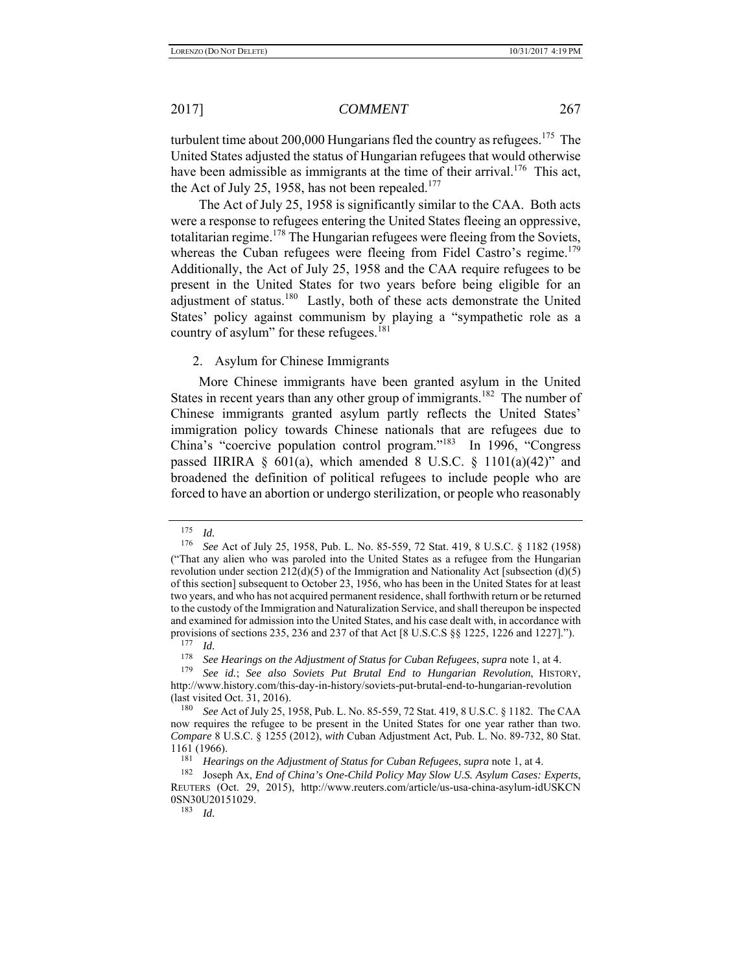turbulent time about  $200,000$  Hungarians fled the country as refugees.<sup>175</sup> The United States adjusted the status of Hungarian refugees that would otherwise have been admissible as immigrants at the time of their arrival.<sup>176</sup> This act, the Act of July 25, 1958, has not been repealed.<sup>177</sup>

The Act of July 25, 1958 is significantly similar to the CAA. Both acts were a response to refugees entering the United States fleeing an oppressive, totalitarian regime.<sup>178</sup> The Hungarian refugees were fleeing from the Soviets, whereas the Cuban refugees were fleeing from Fidel Castro's regime.<sup>179</sup> Additionally, the Act of July 25, 1958 and the CAA require refugees to be present in the United States for two years before being eligible for an adjustment of status.<sup>180</sup> Lastly, both of these acts demonstrate the United States' policy against communism by playing a "sympathetic role as a country of asylum" for these refugees. $181$ 

2. Asylum for Chinese Immigrants

More Chinese immigrants have been granted asylum in the United States in recent years than any other group of immigrants.<sup>182</sup> The number of Chinese immigrants granted asylum partly reflects the United States' immigration policy towards Chinese nationals that are refugees due to China's "coercive population control program."183 In 1996, "Congress passed IIRIRA  $\S$  601(a), which amended 8 U.S.C.  $\S$  1101(a)(42)" and broadened the definition of political refugees to include people who are forced to have an abortion or undergo sterilization, or people who reasonably

183 *Id.*

<sup>175</sup> *Id.*

<sup>176</sup> *See* Act of July 25, 1958, Pub. L. No. 85-559, 72 Stat. 419, 8 U.S.C. § 1182 (1958) ("That any alien who was paroled into the United States as a refugee from the Hungarian revolution under section  $212(d)(5)$  of the Immigration and Nationality Act [subsection (d)(5) of this section] subsequent to October 23, 1956, who has been in the United States for at least two years, and who has not acquired permanent residence, shall forthwith return or be returned to the custody of the Immigration and Naturalization Service, and shall thereupon be inspected and examined for admission into the United States, and his case dealt with, in accordance with provisions of sections 235, 236 and 237 of that Act [8 U.S.C.S §§ 1225, 1226 and 1227].").

 $\frac{177}{178}$  *Id.* 

<sup>178</sup> *See Hearings on the Adjustment of Status for Cuban Refugees*, *supra* note 1, at 4.

<sup>179</sup> *See id.*; *See also Soviets Put Brutal End to Hungarian Revolution*, HISTORY, http://www.history.com/this-day-in-history/soviets-put-brutal-end-to-hungarian-revolution (last visited Oct. 31, 2016).<br> $\frac{180}{2560}$  See Act of July 25, 1

See Act of July 25, 1958, Pub. L. No. 85-559, 72 Stat. 419, 8 U.S.C. § 1182. The CAA now requires the refugee to be present in the United States for one year rather than two. *Compare* 8 U.S.C. § 1255 (2012), *with* Cuban Adjustment Act, Pub. L. No. 89-732, 80 Stat. 1161 (1966).

<sup>181</sup> *Hearings on the Adjustment of Status for Cuban Refugees*, *supra* note 1, at 4.

<sup>182</sup> Joseph Ax, *End of China's One-Child Policy May Slow U.S. Asylum Cases: Experts*, REUTERS (Oct. 29, 2015), http://www.reuters.com/article/us-usa-china-asylum-idUSKCN 0SN30U20151029.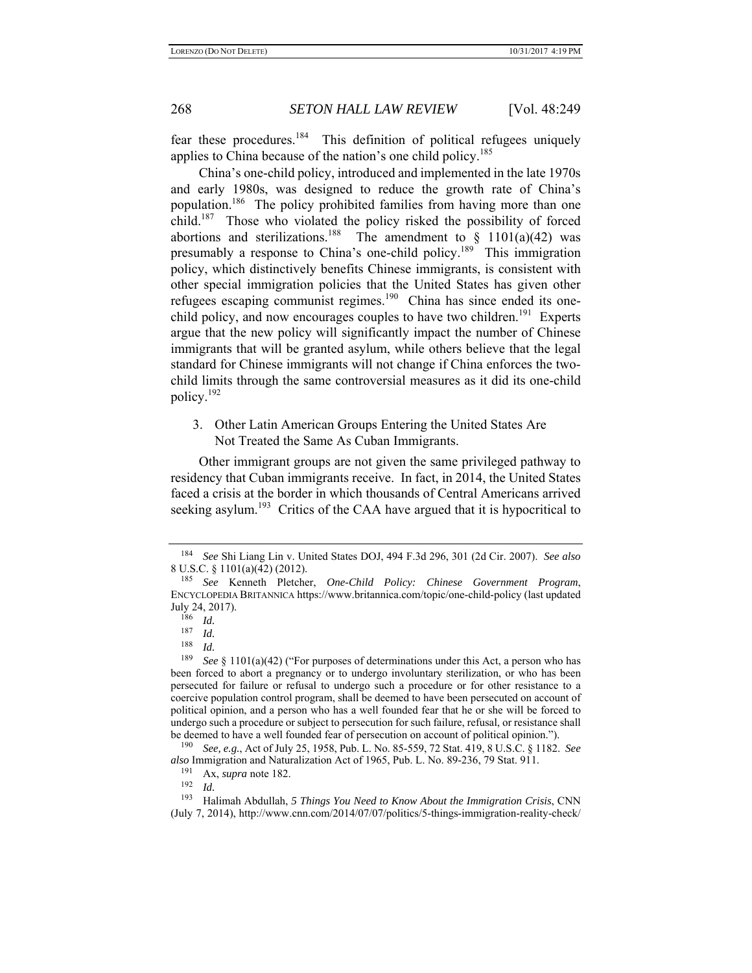fear these procedures.184 This definition of political refugees uniquely applies to China because of the nation's one child policy.<sup>185</sup>

China's one-child policy, introduced and implemented in the late 1970s and early 1980s, was designed to reduce the growth rate of China's population.186 The policy prohibited families from having more than one child.187 Those who violated the policy risked the possibility of forced abortions and sterilizations.<sup>188</sup> The amendment to  $\S$  1101(a)(42) was presumably a response to China's one-child policy.<sup>189</sup> This immigration policy, which distinctively benefits Chinese immigrants, is consistent with other special immigration policies that the United States has given other refugees escaping communist regimes.<sup>190</sup> China has since ended its onechild policy, and now encourages couples to have two children.<sup>191</sup> Experts argue that the new policy will significantly impact the number of Chinese immigrants that will be granted asylum, while others believe that the legal standard for Chinese immigrants will not change if China enforces the twochild limits through the same controversial measures as it did its one-child policy.192

3. Other Latin American Groups Entering the United States Are Not Treated the Same As Cuban Immigrants.

Other immigrant groups are not given the same privileged pathway to residency that Cuban immigrants receive. In fact, in 2014, the United States faced a crisis at the border in which thousands of Central Americans arrived seeking asylum.<sup>193</sup> Critics of the CAA have argued that it is hypocritical to

<sup>184</sup> *See* Shi Liang Lin v. United States DOJ, 494 F.3d 296, 301 (2d Cir. 2007). *See also* 8 U.S.C. § 1101(a)(42) (2012).

<sup>185</sup> *See* Kenneth Pletcher, *One-Child Policy: Chinese Government Program*, ENCYCLOPEDIA BRITANNICA https://www.britannica.com/topic/one-child-policy (last updated July 24, 2017).

 $\frac{186}{187}$  *Id.* 

<sup>187</sup>*Id.* 188 *Id.*

<sup>189</sup> *See* § 1101(a)(42) ("For purposes of determinations under this Act, a person who has been forced to abort a pregnancy or to undergo involuntary sterilization, or who has been persecuted for failure or refusal to undergo such a procedure or for other resistance to a coercive population control program, shall be deemed to have been persecuted on account of political opinion, and a person who has a well founded fear that he or she will be forced to undergo such a procedure or subject to persecution for such failure, refusal, or resistance shall be deemed to have a well founded fear of persecution on account of political opinion.").

<sup>190</sup> *See, e.g.*, Act of July 25, 1958, Pub. L. No. 85-559, 72 Stat. 419, 8 U.S.C. § 1182. *See also* Immigration and Naturalization Act of 1965, Pub. L. No. 89-236, 79 Stat. 911.

 $191 \text{ Ax}$ , *supra* note 182.

<sup>192</sup>*Id.* 193 Halimah Abdullah, *5 Things You Need to Know About the Immigration Crisis*, CNN (July 7, 2014), http://www.cnn.com/2014/07/07/politics/5-things-immigration-reality-check/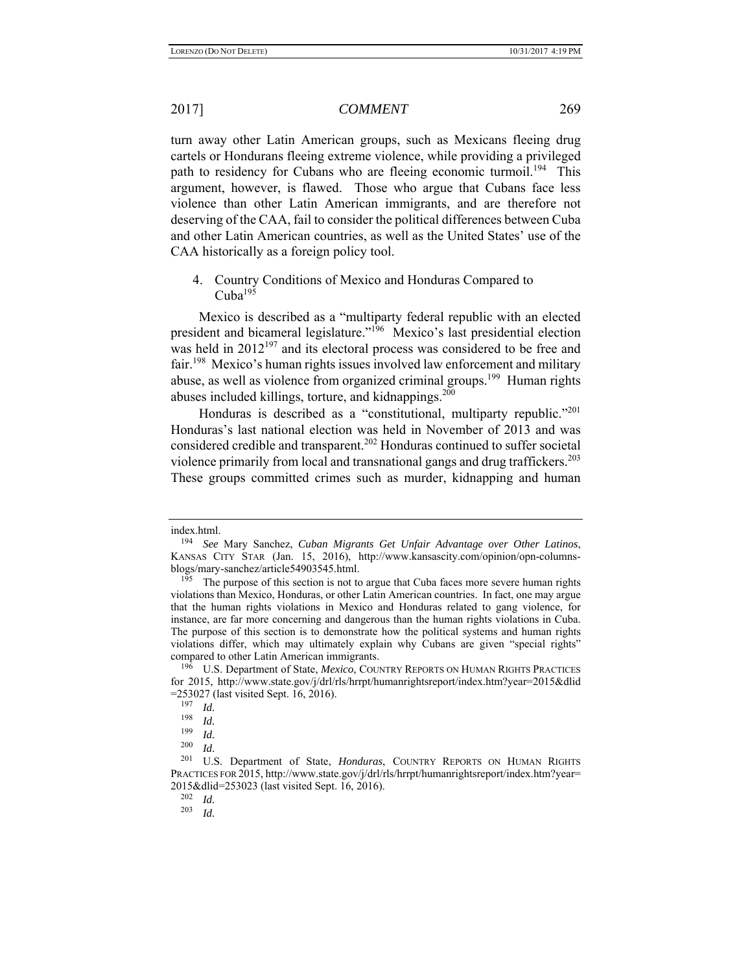turn away other Latin American groups, such as Mexicans fleeing drug cartels or Hondurans fleeing extreme violence, while providing a privileged path to residency for Cubans who are fleeing economic turmoil.<sup>194</sup> This argument, however, is flawed. Those who argue that Cubans face less violence than other Latin American immigrants, and are therefore not deserving of the CAA, fail to consider the political differences between Cuba and other Latin American countries, as well as the United States' use of the CAA historically as a foreign policy tool.

### 4. Country Conditions of Mexico and Honduras Compared to  $\mathrm{Cuba}^{195}$

Mexico is described as a "multiparty federal republic with an elected president and bicameral legislature."196 Mexico's last presidential election was held in  $2012^{197}$  and its electoral process was considered to be free and fair.<sup>198</sup> Mexico's human rights issues involved law enforcement and military abuse, as well as violence from organized criminal groups.<sup>199</sup> Human rights abuses included killings, torture, and kidnappings.<sup>200</sup>

Honduras is described as a "constitutional, multiparty republic."<sup>201</sup> Honduras's last national election was held in November of 2013 and was considered credible and transparent.<sup>202</sup> Honduras continued to suffer societal violence primarily from local and transnational gangs and drug traffickers.<sup>203</sup> These groups committed crimes such as murder, kidnapping and human

index.html.

<sup>194</sup> *See* Mary Sanchez, *Cuban Migrants Get Unfair Advantage over Other Latinos*, KANSAS CITY STAR (Jan. 15, 2016), http://www.kansascity.com/opinion/opn-columnsblogs/mary-sanchez/article54903545.html.

 $195$  The purpose of this section is not to argue that Cuba faces more severe human rights violations than Mexico, Honduras, or other Latin American countries. In fact, one may argue that the human rights violations in Mexico and Honduras related to gang violence, for instance, are far more concerning and dangerous than the human rights violations in Cuba. The purpose of this section is to demonstrate how the political systems and human rights violations differ, which may ultimately explain why Cubans are given "special rights" compared to other Latin American immigrants.

U.S. Department of State, *Mexico*, COUNTRY REPORTS ON HUMAN RIGHTS PRACTICES for 2015, http://www.state.gov/j/drl/rls/hrrpt/humanrightsreport/index.htm?year=2015&dlid =253027 (last visited Sept. 16, 2016).<br> $^{197}$  *M* 

 $\frac{197}{198}$  *Id.* 

*Id.* 

 $\frac{199}{200}$  *Id.* 

 $\frac{200}{201}$  *Id.* 

U.S. Department of State, *Honduras*, COUNTRY REPORTS ON HUMAN RIGHTS PRACTICES FOR 2015, http://www.state.gov/j/drl/rls/hrrpt/humanrightsreport/index.htm?year= 2015&dlid=253023 (last visited Sept. 16, 2016).<br><sup>202</sup> *M* 

 $\frac{202}{203}$  *Id.* 

<sup>203</sup> *Id.*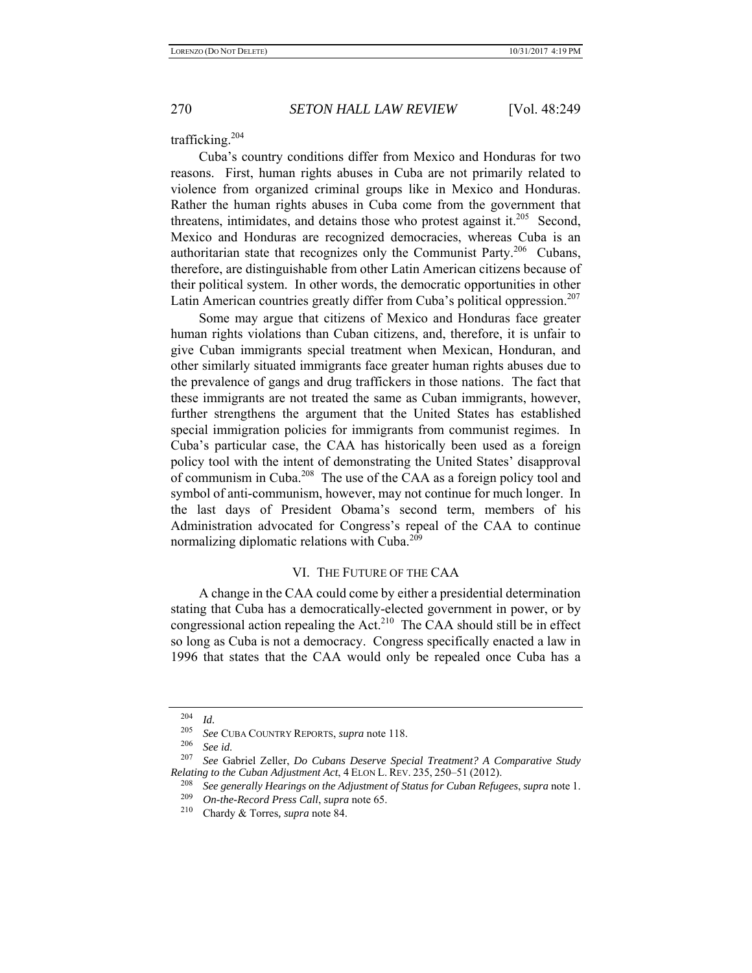trafficking.204

Cuba's country conditions differ from Mexico and Honduras for two reasons. First, human rights abuses in Cuba are not primarily related to violence from organized criminal groups like in Mexico and Honduras. Rather the human rights abuses in Cuba come from the government that threatens, intimidates, and detains those who protest against it.<sup>205</sup> Second, Mexico and Honduras are recognized democracies, whereas Cuba is an authoritarian state that recognizes only the Communist Party.<sup>206</sup> Cubans, therefore, are distinguishable from other Latin American citizens because of their political system. In other words, the democratic opportunities in other Latin American countries greatly differ from Cuba's political oppression.<sup>207</sup>

Some may argue that citizens of Mexico and Honduras face greater human rights violations than Cuban citizens, and, therefore, it is unfair to give Cuban immigrants special treatment when Mexican, Honduran, and other similarly situated immigrants face greater human rights abuses due to the prevalence of gangs and drug traffickers in those nations. The fact that these immigrants are not treated the same as Cuban immigrants, however, further strengthens the argument that the United States has established special immigration policies for immigrants from communist regimes. In Cuba's particular case, the CAA has historically been used as a foreign policy tool with the intent of demonstrating the United States' disapproval of communism in Cuba.<sup>208</sup> The use of the CAA as a foreign policy tool and symbol of anti-communism, however, may not continue for much longer. In the last days of President Obama's second term, members of his Administration advocated for Congress's repeal of the CAA to continue normalizing diplomatic relations with Cuba.<sup>209</sup>

### VI. THE FUTURE OF THE CAA

A change in the CAA could come by either a presidential determination stating that Cuba has a democratically-elected government in power, or by congressional action repealing the  $Act<sup>210</sup>$  The CAA should still be in effect so long as Cuba is not a democracy. Congress specifically enacted a law in 1996 that states that the CAA would only be repealed once Cuba has a

 $\frac{204}{205}$  *Id.* 

<sup>205</sup> *See* CUBA COUNTRY REPORTS, *supra* note 118.

<sup>&</sup>lt;sup>206</sup> See id.<br><sup>207</sup> See Gabriel Zeller, *Do Cubans Deserve Special Treatment? A Comparative Study Relating to the Cuban Adjustment Act*, 4 ELON L. REV. 235, 250–51 (2012).

<sup>208</sup> *See generally Hearings on the Adjustment of Status for Cuban Refugees*, *supra* note 1.

<sup>209</sup> *On-the-Record Press Call*, *supra* note 65.

<sup>210</sup> Chardy & Torres*, supra* note 84.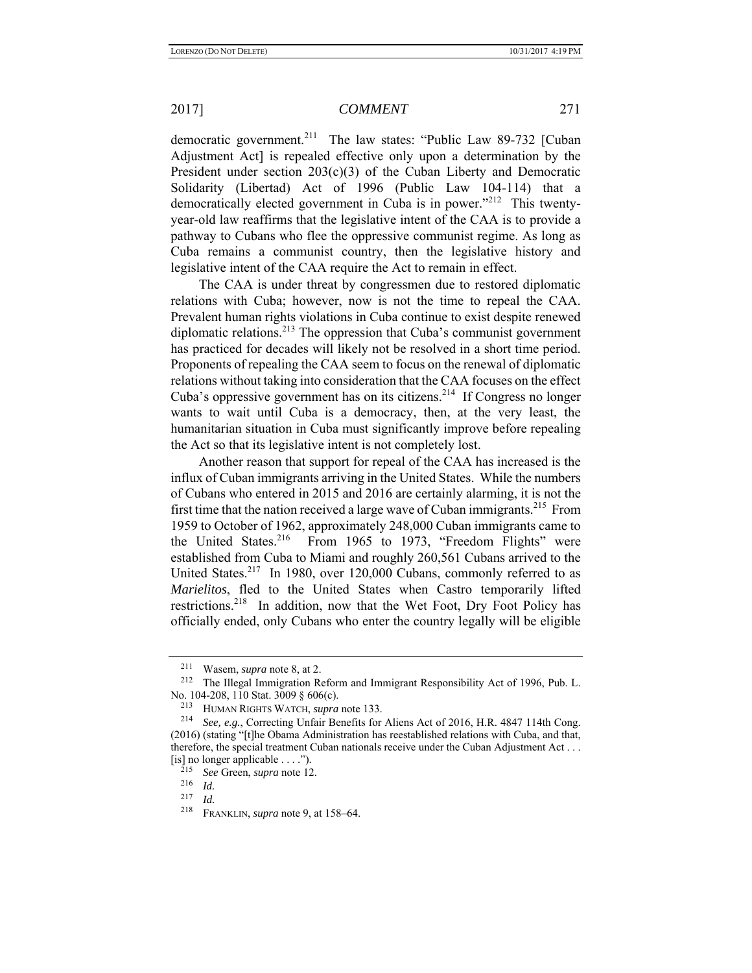democratic government.<sup>211</sup> The law states: "Public Law 89-732 [Cuban Adjustment Act] is repealed effective only upon a determination by the President under section  $203(c)(3)$  of the Cuban Liberty and Democratic Solidarity (Libertad) Act of 1996 (Public Law 104-114) that a democratically elected government in Cuba is in power."<sup>212</sup> This twentyyear-old law reaffirms that the legislative intent of the CAA is to provide a pathway to Cubans who flee the oppressive communist regime. As long as Cuba remains a communist country, then the legislative history and legislative intent of the CAA require the Act to remain in effect.

The CAA is under threat by congressmen due to restored diplomatic relations with Cuba; however, now is not the time to repeal the CAA. Prevalent human rights violations in Cuba continue to exist despite renewed diplomatic relations.<sup>213</sup> The oppression that Cuba's communist government has practiced for decades will likely not be resolved in a short time period. Proponents of repealing the CAA seem to focus on the renewal of diplomatic relations without taking into consideration that the CAA focuses on the effect Cuba's oppressive government has on its citizens.<sup>214</sup> If Congress no longer wants to wait until Cuba is a democracy, then, at the very least, the humanitarian situation in Cuba must significantly improve before repealing the Act so that its legislative intent is not completely lost.

Another reason that support for repeal of the CAA has increased is the influx of Cuban immigrants arriving in the United States. While the numbers of Cubans who entered in 2015 and 2016 are certainly alarming, it is not the first time that the nation received a large wave of Cuban immigrants.<sup>215</sup> From 1959 to October of 1962, approximately 248,000 Cuban immigrants came to the United States.<sup>216</sup> From 1965 to 1973, "Freedom Flights" were established from Cuba to Miami and roughly 260,561 Cubans arrived to the United States.<sup>217</sup> In 1980, over 120,000 Cubans, commonly referred to as *Marielitos*, fled to the United States when Castro temporarily lifted restrictions.<sup>218</sup> In addition, now that the Wet Foot, Dry Foot Policy has officially ended, only Cubans who enter the country legally will be eligible

<sup>&</sup>lt;sup>211</sup> Wasem, *supra* note 8, at 2.<br><sup>212</sup> The Illegal Immigration Reform and Immigrant Responsibility Act of 1996, Pub. L. No. 104-208, 110 Stat. 3009 § 606(c).

<sup>213</sup> HUMAN RIGHTS WATCH, *supra* note 133. 214 *See, e.g.*, Correcting Unfair Benefits for Aliens Act of 2016, H.R. 4847 114th Cong. (2016) (stating "[t]he Obama Administration has reestablished relations with Cuba, and that, therefore, the special treatment Cuban nationals receive under the Cuban Adjustment Act . . . [is] no longer applicable ....").<br> $^{215}$  See Gross.

<sup>215</sup> *See* Green, *supra* note 12.

<sup>216</sup>*Id.* 217 *Id.*<sup>218</sup>FRANKLIN, *supra* note 9, at 158–64.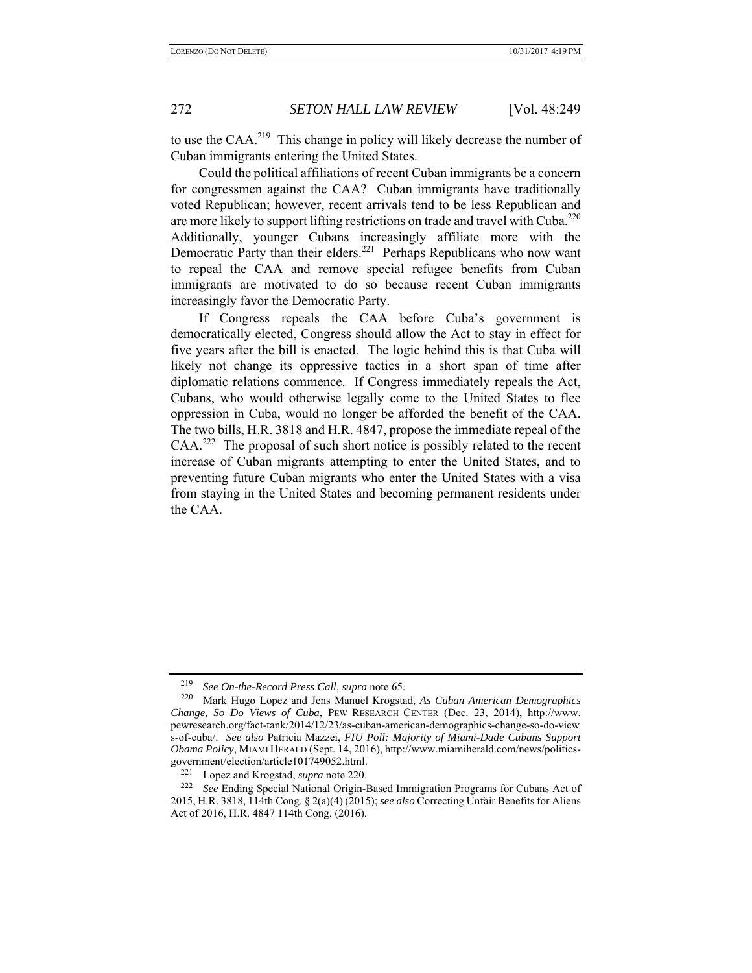to use the CAA.<sup>219</sup> This change in policy will likely decrease the number of Cuban immigrants entering the United States.

Could the political affiliations of recent Cuban immigrants be a concern for congressmen against the CAA? Cuban immigrants have traditionally voted Republican; however, recent arrivals tend to be less Republican and are more likely to support lifting restrictions on trade and travel with Cuba.<sup>220</sup> Additionally, younger Cubans increasingly affiliate more with the Democratic Party than their elders.<sup>221</sup> Perhaps Republicans who now want to repeal the CAA and remove special refugee benefits from Cuban immigrants are motivated to do so because recent Cuban immigrants increasingly favor the Democratic Party.

If Congress repeals the CAA before Cuba's government is democratically elected, Congress should allow the Act to stay in effect for five years after the bill is enacted. The logic behind this is that Cuba will likely not change its oppressive tactics in a short span of time after diplomatic relations commence. If Congress immediately repeals the Act, Cubans, who would otherwise legally come to the United States to flee oppression in Cuba, would no longer be afforded the benefit of the CAA. The two bills, H.R. 3818 and H.R. 4847, propose the immediate repeal of the CAA.<sup>222</sup> The proposal of such short notice is possibly related to the recent increase of Cuban migrants attempting to enter the United States, and to preventing future Cuban migrants who enter the United States with a visa from staying in the United States and becoming permanent residents under the CAA.

<sup>219</sup> *See On-the-Record Press Call*, *supra* note 65.

<sup>220</sup> Mark Hugo Lopez and Jens Manuel Krogstad, *As Cuban American Demographics Change, So Do Views of Cuba*, PEW RESEARCH CENTER (Dec. 23, 2014), http://www. pewresearch.org/fact-tank/2014/12/23/as-cuban-american-demographics-change-so-do-view s-of-cuba/. *See also* Patricia Mazzei, *FIU Poll: Majority of Miami-Dade Cubans Support Obama Policy*, MIAMI HERALD (Sept. 14, 2016), http://www.miamiherald.com/news/politicsgovernment/election/article101749052.html.<br><sup>221</sup> Lopez and Krogstad, *supra* note 220.<br><sup>222</sup> *See* Ending Special National Origin-Based Immigration Programs for Cubans Act of

<sup>2015,</sup> H.R. 3818, 114th Cong. § 2(a)(4) (2015); *see also* Correcting Unfair Benefits for Aliens Act of 2016, H.R. 4847 114th Cong. (2016).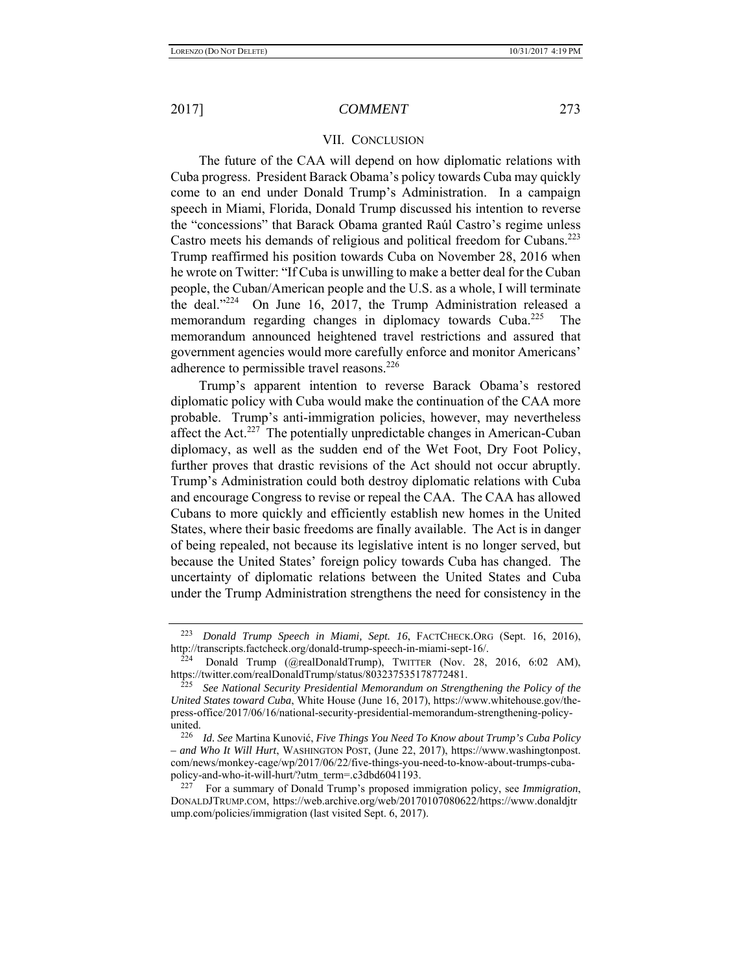### VII. CONCLUSION

The future of the CAA will depend on how diplomatic relations with Cuba progress. President Barack Obama's policy towards Cuba may quickly come to an end under Donald Trump's Administration. In a campaign speech in Miami, Florida, Donald Trump discussed his intention to reverse the "concessions" that Barack Obama granted Raúl Castro's regime unless Castro meets his demands of religious and political freedom for Cubans.<sup>223</sup> Trump reaffirmed his position towards Cuba on November 28, 2016 when he wrote on Twitter: "If Cuba is unwilling to make a better deal for the Cuban people, the Cuban/American people and the U.S. as a whole, I will terminate the deal."<sup>224</sup> On June 16, 2017, the Trump Administration released a memorandum regarding changes in diplomacy towards Cuba.<sup>225</sup> The memorandum announced heightened travel restrictions and assured that government agencies would more carefully enforce and monitor Americans' adherence to permissible travel reasons.<sup>226</sup>

Trump's apparent intention to reverse Barack Obama's restored diplomatic policy with Cuba would make the continuation of the CAA more probable. Trump's anti-immigration policies, however, may nevertheless affect the Act.<sup>227</sup> The potentially unpredictable changes in American-Cuban diplomacy, as well as the sudden end of the Wet Foot, Dry Foot Policy, further proves that drastic revisions of the Act should not occur abruptly. Trump's Administration could both destroy diplomatic relations with Cuba and encourage Congress to revise or repeal the CAA. The CAA has allowed Cubans to more quickly and efficiently establish new homes in the United States, where their basic freedoms are finally available. The Act is in danger of being repealed, not because its legislative intent is no longer served, but because the United States' foreign policy towards Cuba has changed. The uncertainty of diplomatic relations between the United States and Cuba under the Trump Administration strengthens the need for consistency in the

<sup>223</sup> *Donald Trump Speech in Miami, Sept. 16*, FACTCHECK.ORG (Sept. 16, 2016), http://transcripts.factcheck.org/donald-trump-speech-in-miami-sept-16/.<br><sup>224</sup> Donald Trump (@realDonaldTrump), TWITTER (Nov. 28, 2016, 6:02 AM),

https://twitter.com/realDonaldTrump/status/803237535178772481.

<sup>225</sup> *See National Security Presidential Memorandum on Strengthening the Policy of the United States toward Cuba*, White House (June 16, 2017), https://www.whitehouse.gov/thepress-office/2017/06/16/national-security-presidential-memorandum-strengthening-policyunited.

<sup>226</sup> *Id. See* Martina Kunović, *Five Things You Need To Know about Trump's Cuba Policy – and Who It Will Hurt*, WASHINGTON POST, (June 22, 2017), https://www.washingtonpost. com/news/monkey-cage/wp/2017/06/22/five-things-you-need-to-know-about-trumps-cubapolicy-and-who-it-will-hurt/?utm\_term=.c3dbd6041193.

<sup>227</sup> For a summary of Donald Trump's proposed immigration policy, see *Immigration*, DONALDJTRUMP.COM,-https://web.archive.org/web/20170107080622/https://www.donaldjtr ump.com/policies/immigration (last visited Sept. 6, 2017).